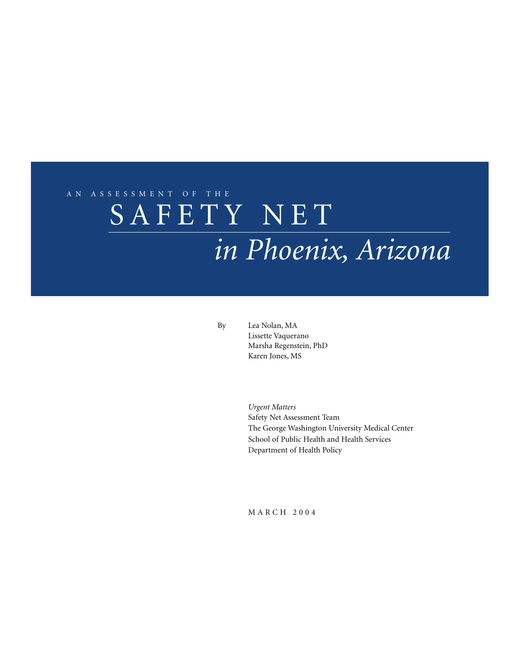# SAFETY NET AN ASSESSMENT OF THE *in Phoenix, Arizona*

By Lea Nolan, MA Lissette Vaquerano Marsha Regenstein, PhD Karen Jones, MS

> *Urgent Matters* Safety Net Assessment Team The George Washington University Medical Center School of Public Health and Health Services Department of Health Policy

MARCH 2004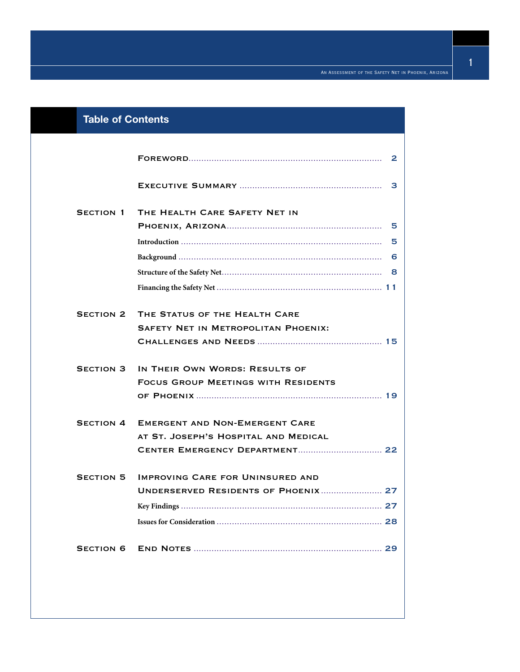| <b>Table of Contents</b> |                                            |   |
|--------------------------|--------------------------------------------|---|
|                          |                                            |   |
|                          |                                            | 3 |
| <b>SECTION 1</b>         | THE HEALTH CARE SAFETY NET IN              |   |
|                          |                                            |   |
|                          |                                            |   |
|                          |                                            |   |
|                          |                                            |   |
|                          |                                            |   |
| <b>SECTION 2</b>         | THE STATUS OF THE HEALTH CARE              |   |
|                          | <b>SAFETY NET IN METROPOLITAN PHOENIX:</b> |   |
|                          |                                            |   |
| <b>SECTION 3</b>         | IN THEIR OWN WORDS: RESULTS OF             |   |
|                          | <b>FOCUS GROUP MEETINGS WITH RESIDENTS</b> |   |
|                          |                                            |   |
| <b>SECTION 4</b>         | <b>EMERGENT AND NON-EMERGENT CARE</b>      |   |
|                          | AT ST. JOSEPH'S HOSPITAL AND MEDICAL       |   |
|                          |                                            |   |
| <b>SECTION 5</b>         | <b>IMPROVING CARE FOR UNINSURED AND</b>    |   |
|                          |                                            |   |
|                          |                                            |   |
|                          |                                            |   |
| <b>SECTION 6</b>         |                                            |   |
|                          |                                            |   |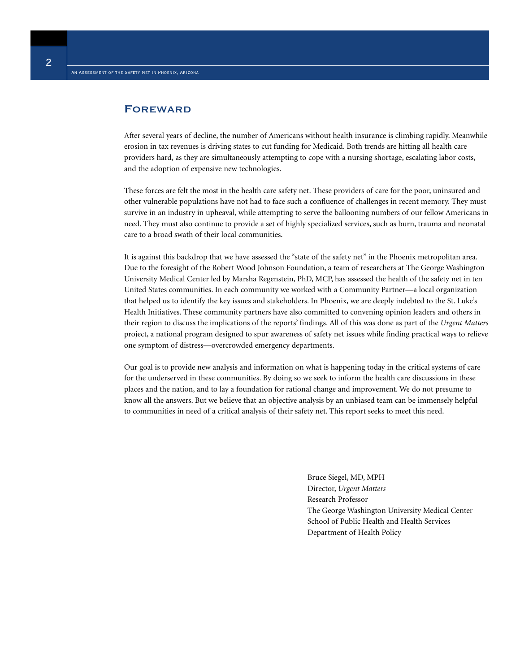#### **FOREWARD**

After several years of decline, the number of Americans without health insurance is climbing rapidly. Meanwhile erosion in tax revenues is driving states to cut funding for Medicaid. Both trends are hitting all health care providers hard, as they are simultaneously attempting to cope with a nursing shortage, escalating labor costs, and the adoption of expensive new technologies.

These forces are felt the most in the health care safety net. These providers of care for the poor, uninsured and other vulnerable populations have not had to face such a confluence of challenges in recent memory. They must survive in an industry in upheaval, while attempting to serve the ballooning numbers of our fellow Americans in need. They must also continue to provide a set of highly specialized services, such as burn, trauma and neonatal care to a broad swath of their local communities.

It is against this backdrop that we have assessed the "state of the safety net" in the Phoenix metropolitan area. Due to the foresight of the Robert Wood Johnson Foundation, a team of researchers at The George Washington University Medical Center led by Marsha Regenstein, PhD, MCP, has assessed the health of the safety net in ten United States communities. In each community we worked with a Community Partner—a local organization that helped us to identify the key issues and stakeholders. In Phoenix, we are deeply indebted to the St. Luke's Health Initiatives. These community partners have also committed to convening opinion leaders and others in their region to discuss the implications of the reports' findings. All of this was done as part of the *Urgent Matters* project, a national program designed to spur awareness of safety net issues while finding practical ways to relieve one symptom of distress—overcrowded emergency departments.

Our goal is to provide new analysis and information on what is happening today in the critical systems of care for the underserved in these communities. By doing so we seek to inform the health care discussions in these places and the nation, and to lay a foundation for rational change and improvement. We do not presume to know all the answers. But we believe that an objective analysis by an unbiased team can be immensely helpful to communities in need of a critical analysis of their safety net. This report seeks to meet this need.

> Bruce Siegel, MD, MPH Director, *Urgent Matters* Research Professor The George Washington University Medical Center School of Public Health and Health Services Department of Health Policy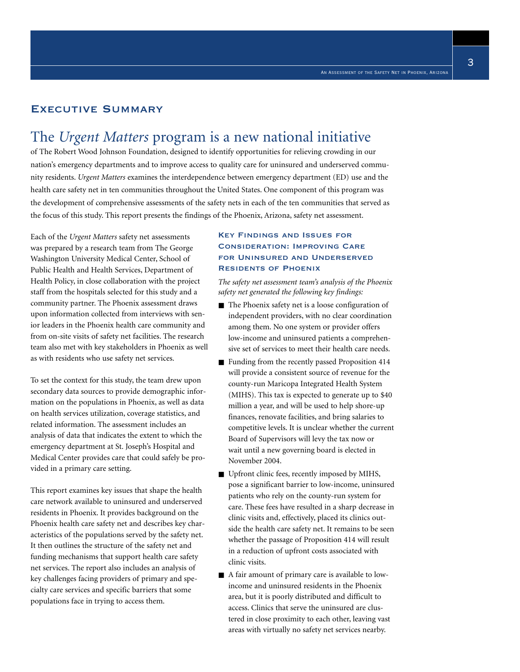#### Executive Summary

## The *Urgent Matters* program is a new national initiative

of The Robert Wood Johnson Foundation, designed to identify opportunities for relieving crowding in our nation's emergency departments and to improve access to quality care for uninsured and underserved community residents. *Urgent Matters* examines the interdependence between emergency department (ED) use and the health care safety net in ten communities throughout the United States. One component of this program was the development of comprehensive assessments of the safety nets in each of the ten communities that served as the focus of this study. This report presents the findings of the Phoenix, Arizona, safety net assessment.

Each of the *Urgent Matters* safety net assessments was prepared by a research team from The George Washington University Medical Center, School of Public Health and Health Services, Department of Health Policy, in close collaboration with the project staff from the hospitals selected for this study and a community partner. The Phoenix assessment draws upon information collected from interviews with senior leaders in the Phoenix health care community and from on-site visits of safety net facilities. The research team also met with key stakeholders in Phoenix as well as with residents who use safety net services.

To set the context for this study, the team drew upon secondary data sources to provide demographic information on the populations in Phoenix, as well as data on health services utilization, coverage statistics, and related information. The assessment includes an analysis of data that indicates the extent to which the emergency department at St. Joseph's Hospital and Medical Center provides care that could safely be provided in a primary care setting.

This report examines key issues that shape the health care network available to uninsured and underserved residents in Phoenix. It provides background on the Phoenix health care safety net and describes key characteristics of the populations served by the safety net. It then outlines the structure of the safety net and funding mechanisms that support health care safety net services. The report also includes an analysis of key challenges facing providers of primary and specialty care services and specific barriers that some populations face in trying to access them.

#### Key Findings and Issues for Consideration: Improving Care for Uninsured and Underserved Residents of Phoenix

*The safety net assessment team's analysis of the Phoenix safety net generated the following key findings:*

- The Phoenix safety net is a loose configuration of independent providers, with no clear coordination among them. No one system or provider offers low-income and uninsured patients a comprehensive set of services to meet their health care needs.
- Funding from the recently passed Proposition 414 will provide a consistent source of revenue for the county-run Maricopa Integrated Health System (MIHS). This tax is expected to generate up to \$40 million a year, and will be used to help shore-up finances, renovate facilities, and bring salaries to competitive levels. It is unclear whether the current Board of Supervisors will levy the tax now or wait until a new governing board is elected in November 2004.
- Upfront clinic fees, recently imposed by MIHS, pose a significant barrier to low-income, uninsured patients who rely on the county-run system for care. These fees have resulted in a sharp decrease in clinic visits and, effectively, placed its clinics outside the health care safety net. It remains to be seen whether the passage of Proposition 414 will result in a reduction of upfront costs associated with clinic visits.
- A fair amount of primary care is available to lowincome and uninsured residents in the Phoenix area, but it is poorly distributed and difficult to access. Clinics that serve the uninsured are clustered in close proximity to each other, leaving vast areas with virtually no safety net services nearby.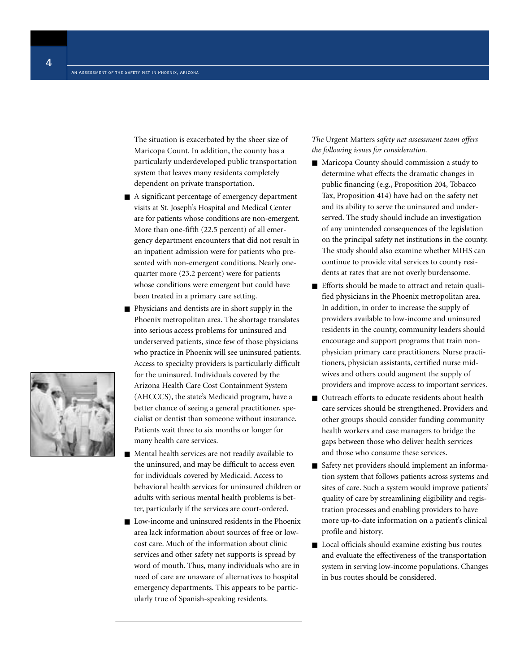The situation is exacerbated by the sheer size of Maricopa Count. In addition, the county has a particularly underdeveloped public transportation system that leaves many residents completely dependent on private transportation.

- A significant percentage of emergency department visits at St. Joseph's Hospital and Medical Center are for patients whose conditions are non-emergent. More than one-fifth (22.5 percent) of all emergency department encounters that did not result in an inpatient admission were for patients who presented with non-emergent conditions. Nearly onequarter more (23.2 percent) were for patients whose conditions were emergent but could have been treated in a primary care setting.
- Physicians and dentists are in short supply in the Phoenix metropolitan area. The shortage translates into serious access problems for uninsured and underserved patients, since few of those physicians who practice in Phoenix will see uninsured patients. Access to specialty providers is particularly difficult for the uninsured. Individuals covered by the Arizona Health Care Cost Containment System (AHCCCS), the state's Medicaid program, have a better chance of seeing a general practitioner, specialist or dentist than someone without insurance. Patients wait three to six months or longer for many health care services.
- Mental health services are not readily available to the uninsured, and may be difficult to access even for individuals covered by Medicaid. Access to behavioral health services for uninsured children or adults with serious mental health problems is better, particularly if the services are court-ordered.
- Low-income and uninsured residents in the Phoenix area lack information about sources of free or lowcost care. Much of the information about clinic services and other safety net supports is spread by word of mouth. Thus, many individuals who are in need of care are unaware of alternatives to hospital emergency departments. This appears to be particularly true of Spanish-speaking residents.

*The* Urgent Matters *safety net assessment team offers the following issues for consideration.*

- Maricopa County should commission a study to determine what effects the dramatic changes in public financing (e.g., Proposition 204, Tobacco Tax, Proposition 414) have had on the safety net and its ability to serve the uninsured and underserved. The study should include an investigation of any unintended consequences of the legislation on the principal safety net institutions in the county. The study should also examine whether MIHS can continue to provide vital services to county residents at rates that are not overly burdensome.
- Efforts should be made to attract and retain qualified physicians in the Phoenix metropolitan area. In addition, in order to increase the supply of providers available to low-income and uninsured residents in the county, community leaders should encourage and support programs that train nonphysician primary care practitioners. Nurse practitioners, physician assistants, certified nurse midwives and others could augment the supply of providers and improve access to important services.
- Outreach efforts to educate residents about health care services should be strengthened. Providers and other groups should consider funding community health workers and case managers to bridge the gaps between those who deliver health services and those who consume these services.
- Safety net providers should implement an information system that follows patients across systems and sites of care. Such a system would improve patients' quality of care by streamlining eligibility and registration processes and enabling providers to have more up-to-date information on a patient's clinical profile and history.
- Local officials should examine existing bus routes and evaluate the effectiveness of the transportation system in serving low-income populations. Changes in bus routes should be considered.

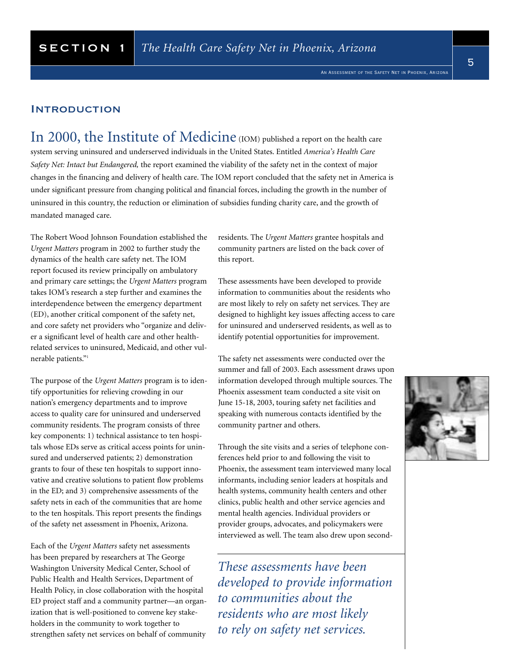An Assessment of the Safety Net in Phoenix, Arizona

#### **INTRODUCTION**

In 2000, the Institute of Medicine (IOM) published a report on the health care system serving uninsured and underserved individuals in the United States. Entitled *America's Health Care Safety Net: Intact but Endangered,* the report examined the viability of the safety net in the context of major changes in the financing and delivery of health care. The IOM report concluded that the safety net in America is under significant pressure from changing political and financial forces, including the growth in the number of uninsured in this country, the reduction or elimination of subsidies funding charity care, and the growth of mandated managed care.

The Robert Wood Johnson Foundation established the *Urgent Matters* program in 2002 to further study the dynamics of the health care safety net. The IOM report focused its review principally on ambulatory and primary care settings; the *Urgent Matters* program takes IOM's research a step further and examines the interdependence between the emergency department (ED), another critical component of the safety net, and core safety net providers who "organize and deliver a significant level of health care and other healthrelated services to uninsured, Medicaid, and other vulnerable patients."1

The purpose of the *Urgent Matters* program is to identify opportunities for relieving crowding in our nation's emergency departments and to improve access to quality care for uninsured and underserved community residents. The program consists of three key components: 1) technical assistance to ten hospitals whose EDs serve as critical access points for uninsured and underserved patients; 2) demonstration grants to four of these ten hospitals to support innovative and creative solutions to patient flow problems in the ED; and 3) comprehensive assessments of the safety nets in each of the communities that are home to the ten hospitals. This report presents the findings of the safety net assessment in Phoenix, Arizona.

Each of the *Urgent Matters* safety net assessments has been prepared by researchers at The George Washington University Medical Center, School of Public Health and Health Services, Department of Health Policy, in close collaboration with the hospital ED project staff and a community partner—an organization that is well-positioned to convene key stakeholders in the community to work together to strengthen safety net services on behalf of community

residents. The *Urgent Matters* grantee hospitals and community partners are listed on the back cover of this report.

These assessments have been developed to provide information to communities about the residents who are most likely to rely on safety net services. They are designed to highlight key issues affecting access to care for uninsured and underserved residents, as well as to identify potential opportunities for improvement.

The safety net assessments were conducted over the summer and fall of 2003. Each assessment draws upon information developed through multiple sources. The Phoenix assessment team conducted a site visit on June 15-18, 2003, touring safety net facilities and speaking with numerous contacts identified by the community partner and others.

Through the site visits and a series of telephone conferences held prior to and following the visit to Phoenix, the assessment team interviewed many local informants, including senior leaders at hospitals and health systems, community health centers and other clinics, public health and other service agencies and mental health agencies. Individual providers or provider groups, advocates, and policymakers were interviewed as well. The team also drew upon second-

*These assessments have been developed to provide information to communities about the residents who are most likely to rely on safety net services.*

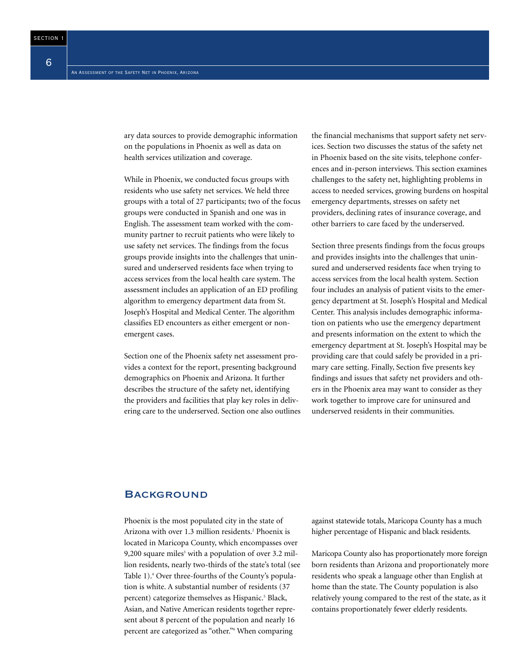ary data sources to provide demographic information on the populations in Phoenix as well as data on health services utilization and coverage.

While in Phoenix, we conducted focus groups with residents who use safety net services. We held three groups with a total of 27 participants; two of the focus groups were conducted in Spanish and one was in English. The assessment team worked with the community partner to recruit patients who were likely to use safety net services. The findings from the focus groups provide insights into the challenges that uninsured and underserved residents face when trying to access services from the local health care system. The assessment includes an application of an ED profiling algorithm to emergency department data from St. Joseph's Hospital and Medical Center. The algorithm classifies ED encounters as either emergent or nonemergent cases.

Section one of the Phoenix safety net assessment provides a context for the report, presenting background demographics on Phoenix and Arizona. It further describes the structure of the safety net, identifying the providers and facilities that play key roles in delivering care to the underserved. Section one also outlines the financial mechanisms that support safety net services. Section two discusses the status of the safety net in Phoenix based on the site visits, telephone conferences and in-person interviews. This section examines challenges to the safety net, highlighting problems in access to needed services, growing burdens on hospital emergency departments, stresses on safety net providers, declining rates of insurance coverage, and other barriers to care faced by the underserved.

Section three presents findings from the focus groups and provides insights into the challenges that uninsured and underserved residents face when trying to access services from the local health system. Section four includes an analysis of patient visits to the emergency department at St. Joseph's Hospital and Medical Center. This analysis includes demographic information on patients who use the emergency department and presents information on the extent to which the emergency department at St. Joseph's Hospital may be providing care that could safely be provided in a primary care setting. Finally, Section five presents key findings and issues that safety net providers and others in the Phoenix area may want to consider as they work together to improve care for uninsured and underserved residents in their communities.

#### **BACKGROUND**

Phoenix is the most populated city in the state of Arizona with over 1.3 million residents.<sup>2</sup> Phoenix is located in Maricopa County, which encompasses over 9,200 square miles<sup>3</sup> with a population of over  $3.2$  million residents, nearly two-thirds of the state's total (see Table 1).4 Over three-fourths of the County's population is white. A substantial number of residents (37 percent) categorize themselves as Hispanic.<sup>5</sup> Black, Asian, and Native American residents together represent about 8 percent of the population and nearly 16 percent are categorized as "other."6 When comparing

against statewide totals, Maricopa County has a much higher percentage of Hispanic and black residents.

Maricopa County also has proportionately more foreign born residents than Arizona and proportionately more residents who speak a language other than English at home than the state. The County population is also relatively young compared to the rest of the state, as it contains proportionately fewer elderly residents.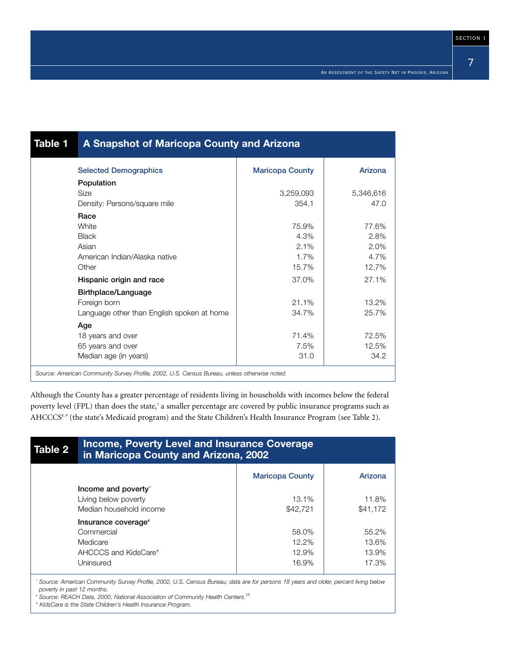| Table 1 | A Snapshot of Maricopa County and Arizona                                                    |                        |           |  |  |  |  |
|---------|----------------------------------------------------------------------------------------------|------------------------|-----------|--|--|--|--|
|         | <b>Selected Demographics</b>                                                                 | <b>Maricopa County</b> | Arizona   |  |  |  |  |
|         | Population                                                                                   |                        |           |  |  |  |  |
|         | <b>Size</b>                                                                                  | 3,259,093              | 5,346,616 |  |  |  |  |
|         | Density: Persons/square mile                                                                 | 354.1                  | 47.0      |  |  |  |  |
|         | Race                                                                                         |                        |           |  |  |  |  |
|         | <b>White</b>                                                                                 | 75.9%                  | 77.6%     |  |  |  |  |
|         | <b>Black</b>                                                                                 | 4.3%                   | 2.8%      |  |  |  |  |
|         | Asian                                                                                        | 2.1%                   | 2.0%      |  |  |  |  |
|         | American Indian/Alaska native                                                                | 1.7%                   | 4.7%      |  |  |  |  |
|         | Other                                                                                        | 15.7%                  | 12.7%     |  |  |  |  |
|         | Hispanic origin and race                                                                     | 37.0%                  | 27.1%     |  |  |  |  |
|         | Birthplace/Language                                                                          |                        |           |  |  |  |  |
|         | Foreign born                                                                                 | 21.1%                  | 13.2%     |  |  |  |  |
|         | Language other than English spoken at home                                                   | 34.7%                  | 25.7%     |  |  |  |  |
|         | Age                                                                                          |                        |           |  |  |  |  |
|         | 18 years and over                                                                            | 71.4%                  | 72.5%     |  |  |  |  |
|         | 65 years and over                                                                            | 7.5%                   | 12.5%     |  |  |  |  |
|         | Median age (in years)                                                                        | 31.0                   | 34.2      |  |  |  |  |
|         | Source: American Community Survey Profile, 2002, U.S. Census Bureau, unless otherwise noted. |                        |           |  |  |  |  |

Although the County has a greater percentage of residents living in households with incomes below the federal poverty level (FPL) than does the state,<sup>7</sup> a smaller percentage are covered by public insurance programs such as AHCCCS<sup>8,9</sup> (the state's Medicaid program) and the State Children's Health Insurance Program (see Table 2).

| Table 2 | <b>Income, Poverty Level and Insurance Coverage</b><br>in Maricopa County and Arizona, 2002 |                        |          |  |  |  |
|---------|---------------------------------------------------------------------------------------------|------------------------|----------|--|--|--|
|         |                                                                                             | <b>Maricopa County</b> | Arizona  |  |  |  |
|         | Income and poverty <sup>*</sup>                                                             |                        |          |  |  |  |
|         | Living below poverty                                                                        | $13.1\%$               | 11.8%    |  |  |  |
|         | Median household income                                                                     | \$42,721               | \$41.172 |  |  |  |
|         | Insurance coverage*                                                                         |                        |          |  |  |  |
|         | Commercial                                                                                  | 58.0%                  | 55.2%    |  |  |  |
|         | Medicare                                                                                    | 12.2%                  | 13.6%    |  |  |  |
|         | AHCCCS and KidsCare*                                                                        | 12.9%                  | 13.9%    |  |  |  |
|         | Uninsured                                                                                   | 16.9%                  | 17.3%    |  |  |  |

*# Source: REACH Data, 2000, National Association of Community Health Centers.*<sup>10</sup>

*\* KidsCare is the State Children's Health Insurance Program.*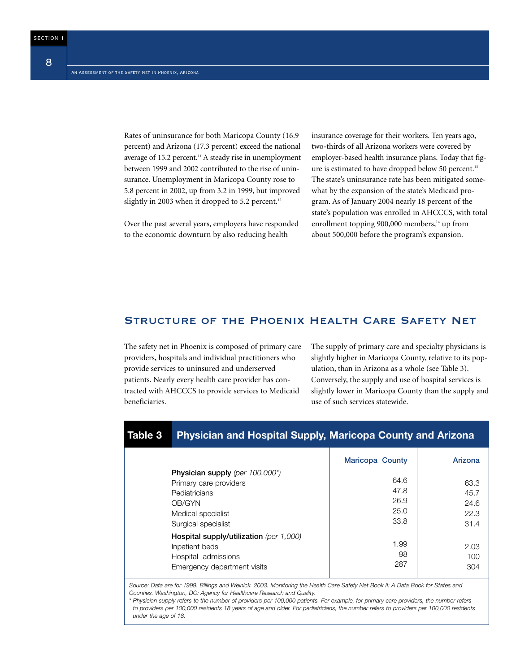Rates of uninsurance for both Maricopa County (16.9 percent) and Arizona (17.3 percent) exceed the national average of 15.2 percent.<sup>11</sup> A steady rise in unemployment between 1999 and 2002 contributed to the rise of uninsurance. Unemployment in Maricopa County rose to 5.8 percent in 2002, up from 3.2 in 1999, but improved slightly in 2003 when it dropped to 5.2 percent.<sup>12</sup>

Over the past several years, employers have responded to the economic downturn by also reducing health

insurance coverage for their workers. Ten years ago, two-thirds of all Arizona workers were covered by employer-based health insurance plans. Today that figure is estimated to have dropped below 50 percent.<sup>13</sup> The state's uninsurance rate has been mitigated somewhat by the expansion of the state's Medicaid program. As of January 2004 nearly 18 percent of the state's population was enrolled in AHCCCS, with total enrollment topping  $900,000$  members,<sup>14</sup> up from about 500,000 before the program's expansion.

#### Structure of the Phoenix Health Care Safety Net

The safety net in Phoenix is composed of primary care providers, hospitals and individual practitioners who provide services to uninsured and underserved patients. Nearly every health care provider has contracted with AHCCCS to provide services to Medicaid beneficiaries.

The supply of primary care and specialty physicians is slightly higher in Maricopa County, relative to its population, than in Arizona as a whole (see Table 3). Conversely, the supply and use of hospital services is slightly lower in Maricopa County than the supply and use of such services statewide.

| Table 3 | <b>Physician and Hospital Supply, Maricopa County and Arizona</b>                                                                 |                                      |                                      |
|---------|-----------------------------------------------------------------------------------------------------------------------------------|--------------------------------------|--------------------------------------|
|         |                                                                                                                                   | <b>Maricopa County</b>               | Arizona                              |
|         | Physician supply (per 100,000*)<br>Primary care providers<br>Pediatricians<br>OB/GYN<br>Medical specialist<br>Surgical specialist | 64.6<br>47.8<br>26.9<br>25.0<br>33.8 | 63.3<br>45.7<br>24.6<br>22.3<br>31.4 |
|         | Hospital supply/utilization (per 1,000)<br>Inpatient beds<br>Hospital admissions<br>Emergency department visits                   | 1.99<br>98<br>287                    | 2.03<br>100<br>304                   |
|         | Source: Data are for 1999. Billings and Weinick. 2003. Monitoring the Health Care Safety Net Book II: A Data Book for States and  |                                      |                                      |

*Source: Data are for 1999. Billings and Weinick. 2003. Monitoring the Health Care Safety Net Book II: A Data Book for States and Counties. Washington, DC: Agency for Healthcare Research and Quality. \* Physician supply refers to the number of providers per 100,000 patients. For example, for primary care providers, the number refers* 

to providers per 100,000 residents 18 years of age and older. For pediatricians, the number refers to providers per 100,000 residents *under the age of 18.*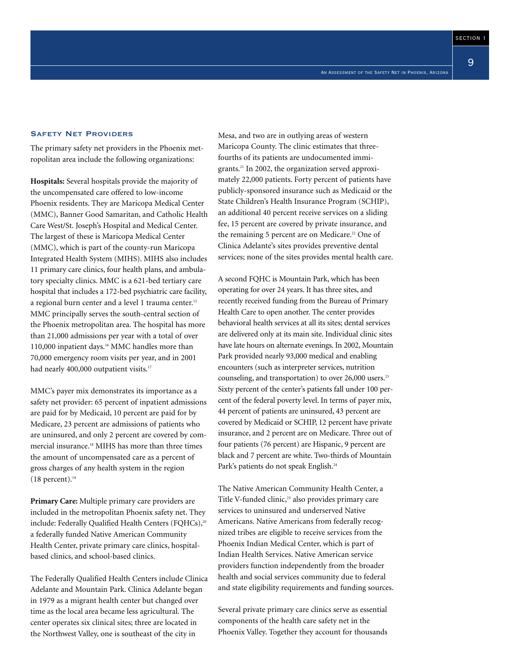9

#### Safety Net Providers

The primary safety net providers in the Phoenix metropolitan area include the following organizations:

**Hospitals:** Several hospitals provide the majority of the uncompensated care offered to low-income Phoenix residents. They are Maricopa Medical Center (MMC), Banner Good Samaritan, and Catholic Health Care West/St. Joseph's Hospital and Medical Center. The largest of these is Maricopa Medical Center (MMC), which is part of the county-run Maricopa Integrated Health System (MIHS). MIHS also includes 11 primary care clinics, four health plans, and ambulatory specialty clinics. MMC is a 621-bed tertiary care hospital that includes a 172-bed psychiatric care facility, a regional burn center and a level 1 trauma center.<sup>15</sup> MMC principally serves the south-central section of the Phoenix metropolitan area. The hospital has more than 21,000 admissions per year with a total of over 110,000 inpatient days.<sup>16</sup> MMC handles more than 70,000 emergency room visits per year, and in 2001 had nearly 400,000 outpatient visits.<sup>17</sup>

MMC's payer mix demonstrates its importance as a safety net provider: 65 percent of inpatient admissions are paid for by Medicaid, 10 percent are paid for by Medicare, 23 percent are admissions of patients who are uninsured, and only 2 percent are covered by commercial insurance.18 MIHS has more than three times the amount of uncompensated care as a percent of gross charges of any health system in the region  $(18$  percent).<sup>19</sup>

**Primary Care:** Multiple primary care providers are included in the metropolitan Phoenix safety net. They include: Federally Qualified Health Centers (FQHCs),<sup>20</sup> a federally funded Native American Community Health Center, private primary care clinics, hospitalbased clinics, and school-based clinics.

The Federally Qualified Health Centers include Clinica Adelante and Mountain Park. Clinica Adelante began in 1979 as a migrant health center but changed over time as the local area became less agricultural. The center operates six clinical sites; three are located in the Northwest Valley, one is southeast of the city in

Mesa, and two are in outlying areas of western Maricopa County. The clinic estimates that threefourths of its patients are undocumented immigrants.21 In 2002, the organization served approximately 22,000 patients. Forty percent of patients have publicly-sponsored insurance such as Medicaid or the State Children's Health Insurance Program (SCHIP), an additional 40 percent receive services on a sliding fee, 15 percent are covered by private insurance, and the remaining 5 percent are on Medicare.<sup>22</sup> One of Clinica Adelante's sites provides preventive dental services; none of the sites provides mental health care.

A second FQHC is Mountain Park, which has been operating for over 24 years. It has three sites, and recently received funding from the Bureau of Primary Health Care to open another. The center provides behavioral health services at all its sites; dental services are delivered only at its main site. Individual clinic sites have late hours on alternate evenings. In 2002, Mountain Park provided nearly 93,000 medical and enabling encounters (such as interpreter services, nutrition counseling, and transportation) to over 26,000 users.<sup>23</sup> Sixty percent of the center's patients fall under 100 percent of the federal poverty level. In terms of payer mix, 44 percent of patients are uninsured, 43 percent are covered by Medicaid or SCHIP, 12 percent have private insurance, and 2 percent are on Medicare. Three out of four patients (76 percent) are Hispanic, 9 percent are black and 7 percent are white. Two-thirds of Mountain Park's patients do not speak English.<sup>24</sup>

The Native American Community Health Center, a Title V-funded clinic, $25$  also provides primary care services to uninsured and underserved Native Americans. Native Americans from federally recognized tribes are eligible to receive services from the Phoenix Indian Medical Center, which is part of Indian Health Services. Native American service providers function independently from the broader health and social services community due to federal and state eligibility requirements and funding sources.

Several private primary care clinics serve as essential components of the health care safety net in the Phoenix Valley. Together they account for thousands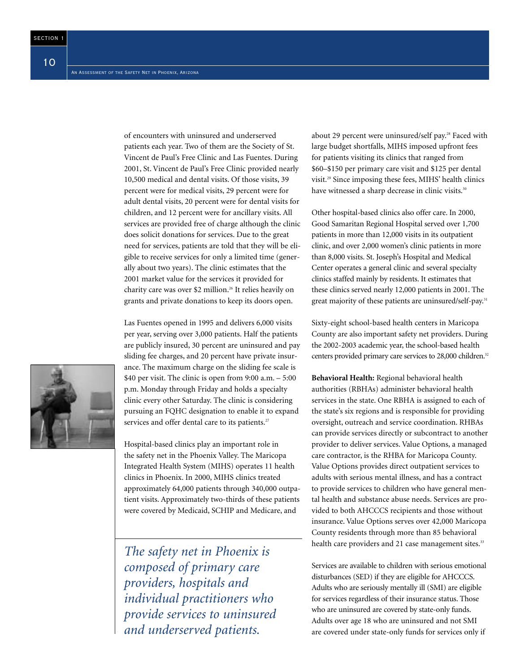of encounters with uninsured and underserved patients each year. Two of them are the Society of St. Vincent de Paul's Free Clinic and Las Fuentes. During 2001, St. Vincent de Paul's Free Clinic provided nearly 10,500 medical and dental visits. Of those visits, 39 percent were for medical visits, 29 percent were for adult dental visits, 20 percent were for dental visits for children, and 12 percent were for ancillary visits. All services are provided free of charge although the clinic does solicit donations for services. Due to the great need for services, patients are told that they will be eligible to receive services for only a limited time (generally about two years). The clinic estimates that the 2001 market value for the services it provided for charity care was over \$2 million.<sup>26</sup> It relies heavily on grants and private donations to keep its doors open.

Las Fuentes opened in 1995 and delivers 6,000 visits per year, serving over 3,000 patients. Half the patients are publicly insured, 30 percent are uninsured and pay sliding fee charges, and 20 percent have private insurance. The maximum charge on the sliding fee scale is \$40 per visit. The clinic is open from 9:00 a.m. – 5:00 p.m. Monday through Friday and holds a specialty clinic every other Saturday. The clinic is considering pursuing an FQHC designation to enable it to expand services and offer dental care to its patients.<sup>27</sup>

Hospital-based clinics play an important role in the safety net in the Phoenix Valley. The Maricopa Integrated Health System (MIHS) operates 11 health clinics in Phoenix. In 2000, MIHS clinics treated approximately 64,000 patients through 340,000 outpatient visits. Approximately two-thirds of these patients were covered by Medicaid, SCHIP and Medicare, and

*The safety net in Phoenix is composed of primary care providers, hospitals and individual practitioners who provide services to uninsured and underserved patients.*

about 29 percent were uninsured/self pay.<sup>28</sup> Faced with large budget shortfalls, MIHS imposed upfront fees for patients visiting its clinics that ranged from \$60–\$150 per primary care visit and \$125 per dental visit.29 Since imposing these fees, MIHS' health clinics have witnessed a sharp decrease in clinic visits.<sup>30</sup>

Other hospital-based clinics also offer care. In 2000, Good Samaritan Regional Hospital served over 1,700 patients in more than 12,000 visits in its outpatient clinic, and over 2,000 women's clinic patients in more than 8,000 visits. St. Joseph's Hospital and Medical Center operates a general clinic and several specialty clinics staffed mainly by residents. It estimates that these clinics served nearly 12,000 patients in 2001. The great majority of these patients are uninsured/self-pay.<sup>31</sup>

Sixty-eight school-based health centers in Maricopa County are also important safety net providers. During the 2002-2003 academic year, the school-based health centers provided primary care services to 28,000 children.<sup>32</sup>

**Behavioral Health:** Regional behavioral health authorities (RBHAs) administer behavioral health services in the state. One RBHA is assigned to each of the state's six regions and is responsible for providing oversight, outreach and service coordination. RHBAs can provide services directly or subcontract to another provider to deliver services. Value Options, a managed care contractor, is the RHBA for Maricopa County. Value Options provides direct outpatient services to adults with serious mental illness, and has a contract to provide services to children who have general mental health and substance abuse needs. Services are provided to both AHCCCS recipients and those without insurance. Value Options serves over 42,000 Maricopa County residents through more than 85 behavioral health care providers and 21 case management sites.<sup>33</sup>

Services are available to children with serious emotional disturbances (SED) if they are eligible for AHCCCS. Adults who are seriously mentally ill (SMI) are eligible for services regardless of their insurance status. Those who are uninsured are covered by state-only funds. Adults over age 18 who are uninsured and not SMI are covered under state-only funds for services only if

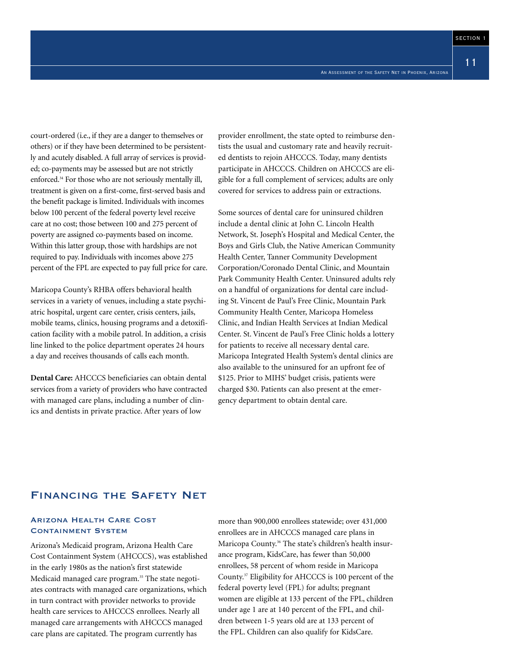court-ordered (i.e., if they are a danger to themselves or others) or if they have been determined to be persistently and acutely disabled. A full array of services is provided; co-payments may be assessed but are not strictly enforced.34 For those who are not seriously mentally ill, treatment is given on a first-come, first-served basis and the benefit package is limited. Individuals with incomes below 100 percent of the federal poverty level receive care at no cost; those between 100 and 275 percent of poverty are assigned co-payments based on income. Within this latter group, those with hardships are not required to pay. Individuals with incomes above 275 percent of the FPL are expected to pay full price for care.

Maricopa County's RHBA offers behavioral health services in a variety of venues, including a state psychiatric hospital, urgent care center, crisis centers, jails, mobile teams, clinics, housing programs and a detoxification facility with a mobile patrol. In addition, a crisis line linked to the police department operates 24 hours a day and receives thousands of calls each month.

**Dental Care:** AHCCCS beneficiaries can obtain dental services from a variety of providers who have contracted with managed care plans, including a number of clinics and dentists in private practice. After years of low

provider enrollment, the state opted to reimburse dentists the usual and customary rate and heavily recruited dentists to rejoin AHCCCS. Today, many dentists participate in AHCCCS. Children on AHCCCS are eligible for a full complement of services; adults are only covered for services to address pain or extractions.

Some sources of dental care for uninsured children include a dental clinic at John C. Lincoln Health Network, St. Joseph's Hospital and Medical Center, the Boys and Girls Club, the Native American Community Health Center, Tanner Community Development Corporation/Coronado Dental Clinic, and Mountain Park Community Health Center. Uninsured adults rely on a handful of organizations for dental care including St. Vincent de Paul's Free Clinic, Mountain Park Community Health Center, Maricopa Homeless Clinic, and Indian Health Services at Indian Medical Center. St. Vincent de Paul's Free Clinic holds a lottery for patients to receive all necessary dental care. Maricopa Integrated Health System's dental clinics are also available to the uninsured for an upfront fee of \$125. Prior to MIHS' budget crisis, patients were charged \$30. Patients can also present at the emergency department to obtain dental care.

#### Financing the Safety Net

#### Arizona Health Care Cost Containment System

Arizona's Medicaid program, Arizona Health Care Cost Containment System (AHCCCS), was established in the early 1980s as the nation's first statewide Medicaid managed care program.<sup>35</sup> The state negotiates contracts with managed care organizations, which in turn contract with provider networks to provide health care services to AHCCCS enrollees. Nearly all managed care arrangements with AHCCCS managed care plans are capitated. The program currently has

more than 900,000 enrollees statewide; over 431,000 enrollees are in AHCCCS managed care plans in Maricopa County.<sup>36</sup> The state's children's health insurance program, KidsCare, has fewer than 50,000 enrollees, 58 percent of whom reside in Maricopa County.37 Eligibility for AHCCCS is 100 percent of the federal poverty level (FPL) for adults; pregnant women are eligible at 133 percent of the FPL, children under age 1 are at 140 percent of the FPL, and children between 1-5 years old are at 133 percent of the FPL. Children can also qualify for KidsCare.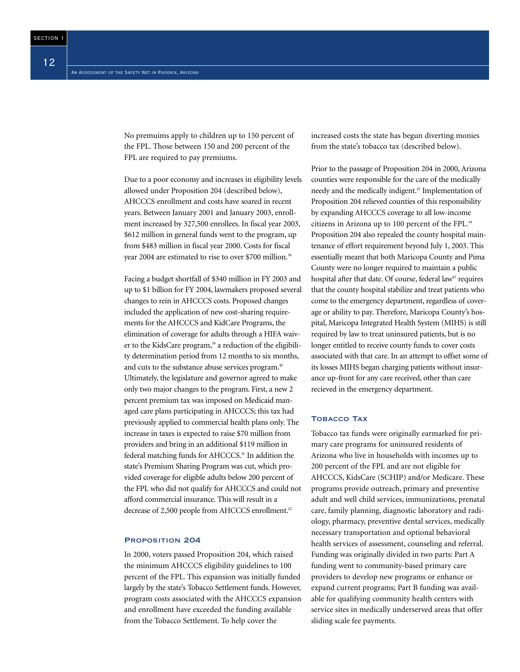No premuims apply to children up to 150 percent of the FPL. Those between 150 and 200 percent of the FPL are required to pay premiums.

Due to a poor economy and increases in eligibility levels allowed under Proposition 204 (described below), AHCCCS enrollment and costs have soared in recent years. Between January 2001 and January 2003, enrollment increased by 327,500 enrollees. In fiscal year 2003, \$612 million in general funds went to the program, up from \$483 million in fiscal year 2000. Costs for fiscal year 2004 are estimated to rise to over \$700 million.<sup>38</sup>

Facing a budget shortfall of \$340 million in FY 2003 and up to \$1 billion for FY 2004, lawmakers proposed several changes to rein in AHCCCS costs. Proposed changes included the application of new cost-sharing requirements for the AHCCCS and KidCare Programs, the elimination of coverage for adults through a HIFA waiver to the KidsCare program,<sup>39</sup> a reduction of the eligibility determination period from 12 months to six months, and cuts to the substance abuse services program.<sup>40</sup> Ultimately, the legislature and governor agreed to make only two major changes to the program. First, a new 2 percent premium tax was imposed on Medicaid managed care plans participating in AHCCCS; this tax had previously applied to commercial health plans only. The increase in taxes is expected to raise \$70 million from providers and bring in an additional \$119 million in federal matching funds for AHCCCS.<sup>41</sup> In addition the state's Premium Sharing Program was cut, which provided coverage for eligible adults below 200 percent of the FPL who did not qualify for AHCCCS and could not afford commercial insurance. This will result in a decrease of 2,500 people from AHCCCS enrollment.<sup>42</sup>

#### Proposition 204

In 2000, voters passed Proposition 204, which raised the minimum AHCCCS eligibility guidelines to 100 percent of the FPL. This expansion was initially funded largely by the state's Tobacco Settlement funds. However, program costs associated with the AHCCCS expansion and enrollment have exceeded the funding available from the Tobacco Settlement. To help cover the

increased costs the state has begun diverting monies from the state's tobacco tax (described below).

Prior to the passage of Proposition 204 in 2000, Arizona counties were responsible for the care of the medically needy and the medically indigent.43 Implementation of Proposition 204 relieved counties of this responsibility by expanding AHCCCS coverage to all low-income citizens in Arizona up to 100 percent of the FPL.<sup>44</sup> Proposition 204 also repealed the county hospital maintenance of effort requirement beyond July 1, 2003. This essentially meant that both Maricopa County and Pima County were no longer required to maintain a public hospital after that date. Of course, federal law<sup>45</sup> requires that the county hospital stabilize and treat patients who come to the emergency department, regardless of coverage or ability to pay. Therefore, Maricopa County's hospital, Maricopa Integrated Health System (MIHS) is still required by law to treat uninsured patients, but is no longer entitled to receive county funds to cover costs associated with that care. In an attempt to offset some of its losses MIHS began charging patients without insurance up-front for any care received, other than care recieved in the emergency department.

#### **TOBACCO TAX**

Tobacco tax funds were originally earmarked for primary care programs for uninsured residents of Arizona who live in households with incomes up to 200 percent of the FPL and are not eligible for AHCCCS, KidsCare (SCHIP) and/or Medicare. These programs provide outreach, primary and preventive adult and well child services, immunizations, prenatal care, family planning, diagnostic laboratory and radiology, pharmacy, preventive dental services, medically necessary transportation and optional behavioral health services of assessment, counseling and referral. Funding was originally divided in two parts: Part A funding went to community-based primary care providers to develop new programs or enhance or expand current programs; Part B funding was available for qualifying community health centers with service sites in medically underserved areas that offer sliding scale fee payments.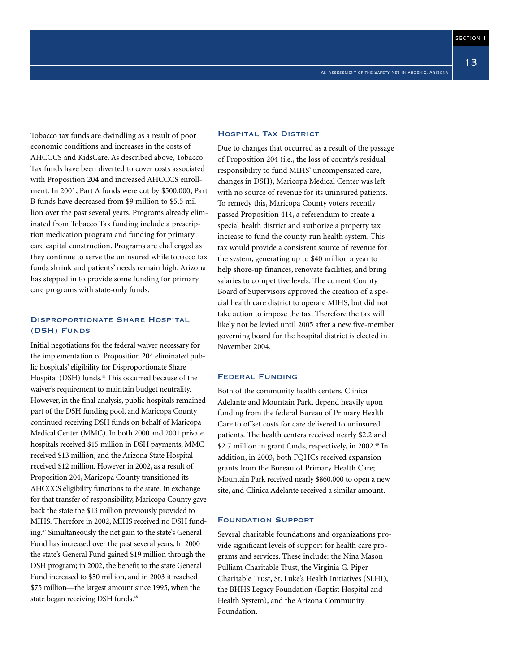13

Tobacco tax funds are dwindling as a result of poor economic conditions and increases in the costs of AHCCCS and KidsCare. As described above, Tobacco Tax funds have been diverted to cover costs associated with Proposition 204 and increased AHCCCS enrollment. In 2001, Part A funds were cut by \$500,000; Part B funds have decreased from \$9 million to \$5.5 million over the past several years. Programs already eliminated from Tobacco Tax funding include a prescription medication program and funding for primary care capital construction. Programs are challenged as they continue to serve the uninsured while tobacco tax funds shrink and patients' needs remain high. Arizona has stepped in to provide some funding for primary care programs with state-only funds.

#### Disproportionate Share Hospital (DSH) Funds

Initial negotiations for the federal waiver necessary for the implementation of Proposition 204 eliminated public hospitals' eligibility for Disproportionate Share Hospital (DSH) funds.<sup>46</sup> This occurred because of the waiver's requirement to maintain budget neutrality. However, in the final analysis, public hospitals remained part of the DSH funding pool, and Maricopa County continued receiving DSH funds on behalf of Maricopa Medical Center (MMC). In both 2000 and 2001 private hospitals received \$15 million in DSH payments, MMC received \$13 million, and the Arizona State Hospital received \$12 million. However in 2002, as a result of Proposition 204, Maricopa County transitioned its AHCCCS eligibility functions to the state. In exchange for that transfer of responsibility, Maricopa County gave back the state the \$13 million previously provided to MIHS. Therefore in 2002, MIHS received no DSH funding.47 Simultaneously the net gain to the state's General Fund has increased over the past several years. In 2000 the state's General Fund gained \$19 million through the DSH program; in 2002, the benefit to the state General Fund increased to \$50 million, and in 2003 it reached \$75 million—the largest amount since 1995, when the state began receiving DSH funds.<sup>48</sup>

#### Hospital Tax District

Due to changes that occurred as a result of the passage of Proposition 204 (i.e., the loss of county's residual responsibility to fund MIHS' uncompensated care, changes in DSH), Maricopa Medical Center was left with no source of revenue for its uninsured patients. To remedy this, Maricopa County voters recently passed Proposition 414, a referendum to create a special health district and authorize a property tax increase to fund the county-run health system. This tax would provide a consistent source of revenue for the system, generating up to \$40 million a year to help shore-up finances, renovate facilities, and bring salaries to competitive levels. The current County Board of Supervisors approved the creation of a special health care district to operate MIHS, but did not take action to impose the tax. Therefore the tax will likely not be levied until 2005 after a new five-member governing board for the hospital district is elected in November 2004.

#### Federal Funding

Both of the community health centers, Clinica Adelante and Mountain Park, depend heavily upon funding from the federal Bureau of Primary Health Care to offset costs for care delivered to uninsured patients. The health centers received nearly \$2.2 and \$2.7 million in grant funds, respectively, in 2002.<sup>49</sup> In addition, in 2003, both FQHCs received expansion grants from the Bureau of Primary Health Care; Mountain Park received nearly \$860,000 to open a new site, and Clinica Adelante received a similar amount.

#### Foundation Support

Several charitable foundations and organizations provide significant levels of support for health care programs and services. These include: the Nina Mason Pulliam Charitable Trust, the Virginia G. Piper Charitable Trust, St. Luke's Health Initiatives (SLHI), the BHHS Legacy Foundation (Baptist Hospital and Health System), and the Arizona Community Foundation.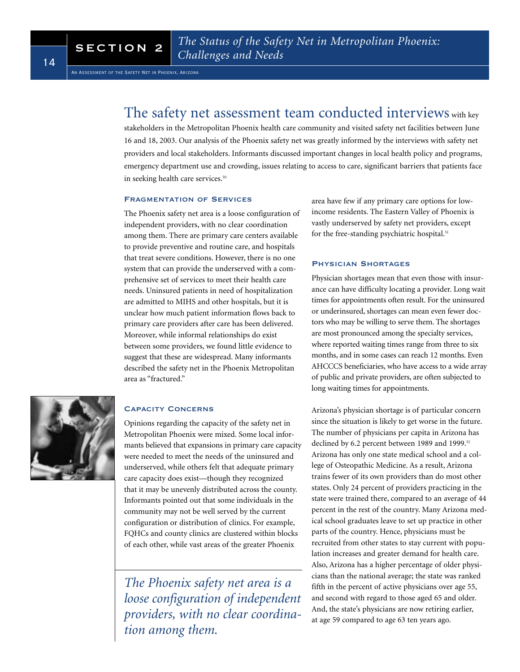### The safety net assessment team conducted interviews with key

stakeholders in the Metropolitan Phoenix health care community and visited safety net facilities between June 16 and 18, 2003. Our analysis of the Phoenix safety net was greatly informed by the interviews with safety net providers and local stakeholders. Informants discussed important changes in local health policy and programs, emergency department use and crowding, issues relating to access to care, significant barriers that patients face in seeking health care services.<sup>50</sup>

#### Fragmentation of Services

The Phoenix safety net area is a loose configuration of independent providers, with no clear coordination among them. There are primary care centers available to provide preventive and routine care, and hospitals that treat severe conditions. However, there is no one system that can provide the underserved with a comprehensive set of services to meet their health care needs. Uninsured patients in need of hospitalization are admitted to MIHS and other hospitals, but it is unclear how much patient information flows back to primary care providers after care has been delivered. Moreover, while informal relationships do exist between some providers, we found little evidence to suggest that these are widespread. Many informants described the safety net in the Phoenix Metropolitan area as "fractured."



#### Capacity Concerns

Opinions regarding the capacity of the safety net in Metropolitan Phoenix were mixed. Some local informants believed that expansions in primary care capacity were needed to meet the needs of the uninsured and underserved, while others felt that adequate primary care capacity does exist—though they recognized that it may be unevenly distributed across the county. Informants pointed out that some individuals in the community may not be well served by the current configuration or distribution of clinics. For example, FQHCs and county clinics are clustered within blocks of each other, while vast areas of the greater Phoenix

*The Phoenix safety net area is a loose configuration of independent providers, with no clear coordination among them.*

area have few if any primary care options for lowincome residents. The Eastern Valley of Phoenix is vastly underserved by safety net providers, except for the free-standing psychiatric hospital.<sup>51</sup>

#### Physician Shortages

Physician shortages mean that even those with insurance can have difficulty locating a provider. Long wait times for appointments often result. For the uninsured or underinsured, shortages can mean even fewer doctors who may be willing to serve them. The shortages are most pronounced among the specialty services, where reported waiting times range from three to six months, and in some cases can reach 12 months. Even AHCCCS beneficiaries, who have access to a wide array of public and private providers, are often subjected to long waiting times for appointments.

Arizona's physician shortage is of particular concern since the situation is likely to get worse in the future. The number of physicians per capita in Arizona has declined by 6.2 percent between 1989 and 1999.<sup>52</sup> Arizona has only one state medical school and a college of Osteopathic Medicine. As a result, Arizona trains fewer of its own providers than do most other states. Only 24 percent of providers practicing in the state were trained there, compared to an average of 44 percent in the rest of the country. Many Arizona medical school graduates leave to set up practice in other parts of the country. Hence, physicians must be recruited from other states to stay current with population increases and greater demand for health care. Also, Arizona has a higher percentage of older physicians than the national average; the state was ranked fifth in the percent of active physicians over age 55, and second with regard to those aged 65 and older. And, the state's physicians are now retiring earlier, at age 59 compared to age 63 ten years ago.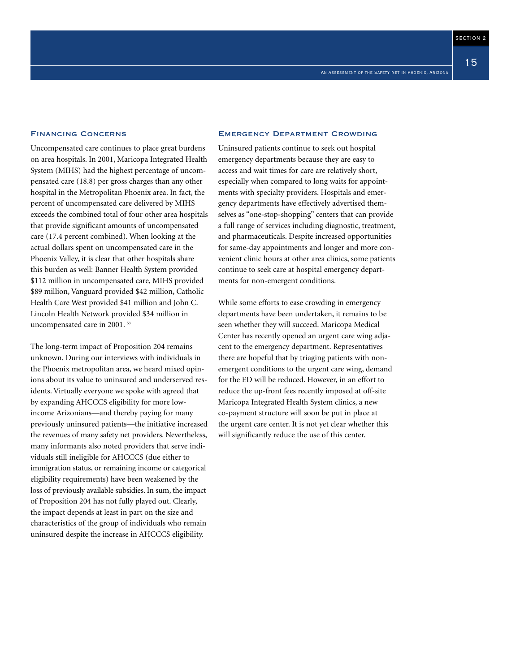15

Financing Concerns

Uncompensated care continues to place great burdens on area hospitals. In 2001, Maricopa Integrated Health System (MIHS) had the highest percentage of uncompensated care (18.8) per gross charges than any other hospital in the Metropolitan Phoenix area. In fact, the percent of uncompensated care delivered by MIHS exceeds the combined total of four other area hospitals that provide significant amounts of uncompensated care (17.4 percent combined). When looking at the actual dollars spent on uncompensated care in the Phoenix Valley, it is clear that other hospitals share this burden as well: Banner Health System provided \$112 million in uncompensated care, MIHS provided \$89 million, Vanguard provided \$42 million, Catholic Health Care West provided \$41 million and John C. Lincoln Health Network provided \$34 million in uncompensated care in 2001. <sup>53</sup>

The long-term impact of Proposition 204 remains unknown. During our interviews with individuals in the Phoenix metropolitan area, we heard mixed opinions about its value to uninsured and underserved residents. Virtually everyone we spoke with agreed that by expanding AHCCCS eligibility for more lowincome Arizonians—and thereby paying for many previously uninsured patients—the initiative increased the revenues of many safety net providers. Nevertheless, many informants also noted providers that serve individuals still ineligible for AHCCCS (due either to immigration status, or remaining income or categorical eligibility requirements) have been weakened by the loss of previously available subsidies. In sum, the impact of Proposition 204 has not fully played out. Clearly, the impact depends at least in part on the size and characteristics of the group of individuals who remain uninsured despite the increase in AHCCCS eligibility.

#### Emergency Department Crowding

Uninsured patients continue to seek out hospital emergency departments because they are easy to access and wait times for care are relatively short, especially when compared to long waits for appointments with specialty providers. Hospitals and emergency departments have effectively advertised themselves as "one-stop-shopping" centers that can provide a full range of services including diagnostic, treatment, and pharmaceuticals. Despite increased opportunities for same-day appointments and longer and more convenient clinic hours at other area clinics, some patients continue to seek care at hospital emergency departments for non-emergent conditions.

While some efforts to ease crowding in emergency departments have been undertaken, it remains to be seen whether they will succeed. Maricopa Medical Center has recently opened an urgent care wing adjacent to the emergency department. Representatives there are hopeful that by triaging patients with nonemergent conditions to the urgent care wing, demand for the ED will be reduced. However, in an effort to reduce the up-front fees recently imposed at off-site Maricopa Integrated Health System clinics, a new co-payment structure will soon be put in place at the urgent care center. It is not yet clear whether this will significantly reduce the use of this center.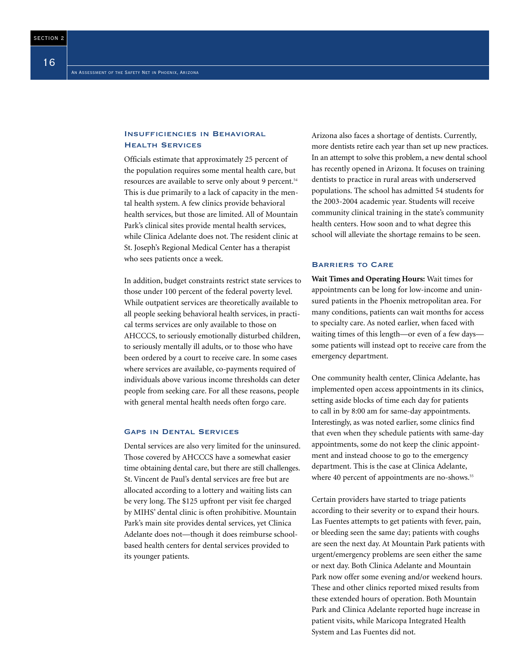#### Insufficiencies in Behavioral Health Services

Officials estimate that approximately 25 percent of the population requires some mental health care, but resources are available to serve only about 9 percent.<sup>54</sup> This is due primarily to a lack of capacity in the mental health system. A few clinics provide behavioral health services, but those are limited. All of Mountain Park's clinical sites provide mental health services, while Clinica Adelante does not. The resident clinic at St. Joseph's Regional Medical Center has a therapist who sees patients once a week.

In addition, budget constraints restrict state services to those under 100 percent of the federal poverty level. While outpatient services are theoretically available to all people seeking behavioral health services, in practical terms services are only available to those on AHCCCS, to seriously emotionally disturbed children, to seriously mentally ill adults, or to those who have been ordered by a court to receive care. In some cases where services are available, co-payments required of individuals above various income thresholds can deter people from seeking care. For all these reasons, people with general mental health needs often forgo care.

#### Gaps in Dental Services

Dental services are also very limited for the uninsured. Those covered by AHCCCS have a somewhat easier time obtaining dental care, but there are still challenges. St. Vincent de Paul's dental services are free but are allocated according to a lottery and waiting lists can be very long. The \$125 upfront per visit fee charged by MIHS' dental clinic is often prohibitive. Mountain Park's main site provides dental services, yet Clinica Adelante does not—though it does reimburse schoolbased health centers for dental services provided to its younger patients.

Arizona also faces a shortage of dentists. Currently, more dentists retire each year than set up new practices. In an attempt to solve this problem, a new dental school has recently opened in Arizona. It focuses on training dentists to practice in rural areas with underserved populations. The school has admitted 54 students for the 2003-2004 academic year. Students will receive community clinical training in the state's community health centers. How soon and to what degree this school will alleviate the shortage remains to be seen.

#### Barriers to Care

**Wait Times and Operating Hours:** Wait times for appointments can be long for low-income and uninsured patients in the Phoenix metropolitan area. For many conditions, patients can wait months for access to specialty care. As noted earlier, when faced with waiting times of this length—or even of a few days some patients will instead opt to receive care from the emergency department.

One community health center, Clinica Adelante, has implemented open access appointments in its clinics, setting aside blocks of time each day for patients to call in by 8:00 am for same-day appointments. Interestingly, as was noted earlier, some clinics find that even when they schedule patients with same-day appointments, some do not keep the clinic appointment and instead choose to go to the emergency department. This is the case at Clinica Adelante, where 40 percent of appointments are no-shows.<sup>55</sup>

Certain providers have started to triage patients according to their severity or to expand their hours. Las Fuentes attempts to get patients with fever, pain, or bleeding seen the same day; patients with coughs are seen the next day. At Mountain Park patients with urgent/emergency problems are seen either the same or next day. Both Clinica Adelante and Mountain Park now offer some evening and/or weekend hours. These and other clinics reported mixed results from these extended hours of operation. Both Mountain Park and Clinica Adelante reported huge increase in patient visits, while Maricopa Integrated Health System and Las Fuentes did not.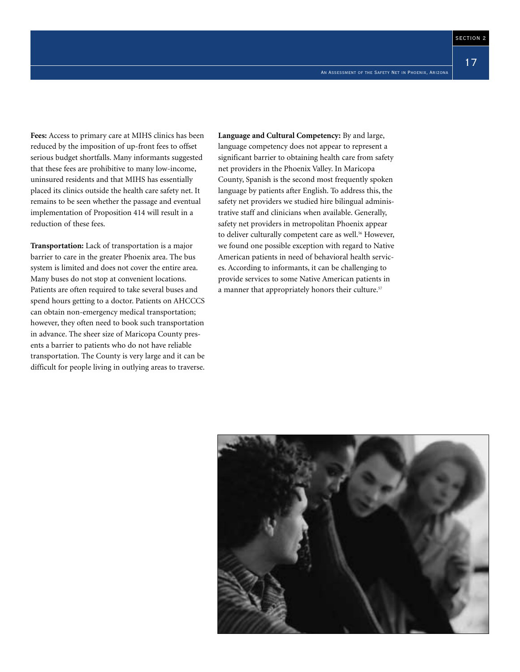17

**Fees:** Access to primary care at MIHS clinics has been reduced by the imposition of up-front fees to offset serious budget shortfalls. Many informants suggested that these fees are prohibitive to many low-income, uninsured residents and that MIHS has essentially placed its clinics outside the health care safety net. It remains to be seen whether the passage and eventual implementation of Proposition 414 will result in a reduction of these fees.

**Transportation:** Lack of transportation is a major barrier to care in the greater Phoenix area. The bus system is limited and does not cover the entire area. Many buses do not stop at convenient locations. Patients are often required to take several buses and spend hours getting to a doctor. Patients on AHCCCS can obtain non-emergency medical transportation; however, they often need to book such transportation in advance. The sheer size of Maricopa County presents a barrier to patients who do not have reliable transportation. The County is very large and it can be difficult for people living in outlying areas to traverse.

**Language and Cultural Competency:** By and large, language competency does not appear to represent a significant barrier to obtaining health care from safety net providers in the Phoenix Valley. In Maricopa County, Spanish is the second most frequently spoken language by patients after English. To address this, the safety net providers we studied hire bilingual administrative staff and clinicians when available. Generally, safety net providers in metropolitan Phoenix appear to deliver culturally competent care as well.<sup>56</sup> However, we found one possible exception with regard to Native American patients in need of behavioral health services. According to informants, it can be challenging to provide services to some Native American patients in a manner that appropriately honors their culture.<sup>57</sup>

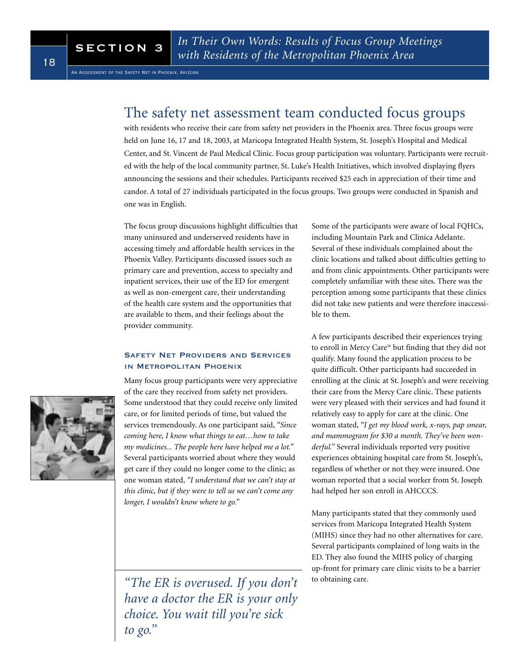### The safety net assessment team conducted focus groups

with residents who receive their care from safety net providers in the Phoenix area. Three focus groups were held on June 16, 17 and 18, 2003, at Maricopa Integrated Health System, St. Joseph's Hospital and Medical Center, and St. Vincent de Paul Medical Clinic. Focus group participation was voluntary. Participants were recruited with the help of the local community partner, St. Luke's Health Initiatives, which involved displaying flyers announcing the sessions and their schedules. Participants received \$25 each in appreciation of their time and candor. A total of 27 individuals participated in the focus groups. Two groups were conducted in Spanish and one was in English.

The focus group discussions highlight difficulties that many uninsured and underserved residents have in accessing timely and affordable health services in the Phoenix Valley. Participants discussed issues such as primary care and prevention, access to specialty and inpatient services, their use of the ED for emergent as well as non-emergent care, their understanding of the health care system and the opportunities that are available to them, and their feelings about the provider community.

#### Safety Net Providers and Services in Metropolitan Phoenix

Many focus group participants were very appreciative of the care they received from safety net providers. Some understood that they could receive only limited care, or for limited periods of time, but valued the services tremendously. As one participant said, *"Since coming here, I know what things to eat…how to take my medicines... The people here have helped me a lot."* Several participants worried about where they would get care if they could no longer come to the clinic; as one woman stated, *"I understand that we can't stay at this clinic, but if they were to tell us we can't come any longer, I wouldn't know where to go."*

*"The ER is overused. If you don't have a doctor the ER is your only choice. You wait till you're sick to go."*

Some of the participants were aware of local FQHCs, including Mountain Park and Clinica Adelante. Several of these individuals complained about the clinic locations and talked about difficulties getting to and from clinic appointments. Other participants were completely unfamiliar with these sites. There was the perception among some participants that these clinics did not take new patients and were therefore inaccessible to them.

A few participants described their experiences trying to enroll in Mercy Care<sup>58</sup> but finding that they did not qualify. Many found the application process to be quite difficult. Other participants had succeeded in enrolling at the clinic at St. Joseph's and were receiving their care from the Mercy Care clinic. These patients were very pleased with their services and had found it relatively easy to apply for care at the clinic. One woman stated, *"I get my blood work, x-rays, pap smear, and mammogram for \$30 a month. They've been wonderful."* Several individuals reported very positive experiences obtaining hospital care from St. Joseph's, regardless of whether or not they were insured. One woman reported that a social worker from St. Joseph had helped her son enroll in AHCCCS.

Many participants stated that they commonly used services from Maricopa Integrated Health System (MIHS) since they had no other alternatives for care. Several participants complained of long waits in the ED. They also found the MIHS policy of charging up-front for primary care clinic visits to be a barrier to obtaining care.

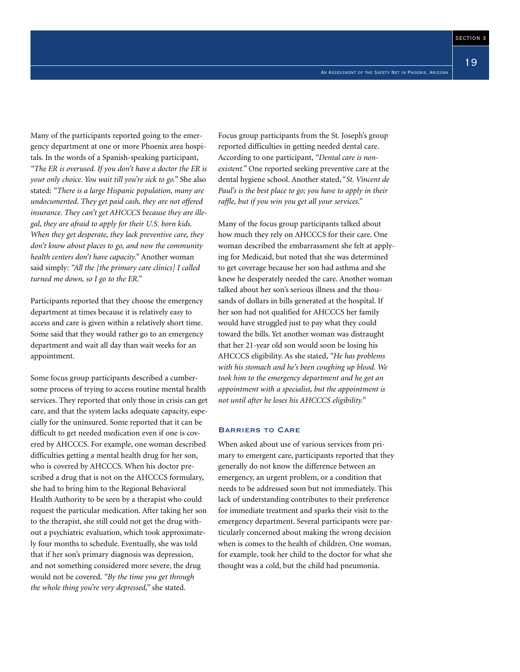Many of the participants reported going to the emergency department at one or more Phoenix area hospitals. In the words of a Spanish-speaking participant,

*"The ER is overused. If you don't have a doctor the ER is your only choice. You wait till you're sick to go."* She also stated: *"There is a large Hispanic population, many are undocumented. They get paid cash, they are not offered insurance. They can't get AHCCCS because they are illegal, they are afraid to apply for their U.S. born kids. When they get desperate, they lack preventive care, they don't know about places to go, and now the community health centers don't have capacity."* Another woman said simply: *"All the [the primary care clinics] I called turned me down, so I go to the ER."*

Participants reported that they choose the emergency department at times because it is relatively easy to access and care is given within a relatively short time. Some said that they would rather go to an emergency department and wait all day than wait weeks for an appointment.

Some focus group participants described a cumbersome process of trying to access routine mental health services. They reported that only those in crisis can get care, and that the system lacks adequate capacity, especially for the uninsured. Some reported that it can be difficult to get needed medication even if one is covered by AHCCCS. For example, one woman described difficulties getting a mental health drug for her son, who is covered by AHCCCS. When his doctor prescribed a drug that is not on the AHCCCS formulary, she had to bring him to the Regional Behavioral Health Authority to be seen by a therapist who could request the particular medication. After taking her son to the therapist, she still could not get the drug without a psychiatric evaluation, which took approximately four months to schedule. Eventually, she was told that if her son's primary diagnosis was depression, and not something considered more severe, the drug would not be covered. *"By the time you get through the whole thing you're very depressed,"* she stated.

Focus group participants from the St. Joseph's group reported difficulties in getting needed dental care. According to one participant, *"Dental care is nonexistent."* One reported seeking preventive care at the dental hygiene school. Another stated, "*St. Vincent de Paul's is the best place to go; you have to apply in their raffle, but if you win you get all your services."*

Many of the focus group participants talked about how much they rely on AHCCCS for their care. One woman described the embarrassment she felt at applying for Medicaid, but noted that she was determined to get coverage because her son had asthma and she knew he desperately needed the care. Another woman talked about her son's serious illness and the thousands of dollars in bills generated at the hospital. If her son had not qualified for AHCCCS her family would have struggled just to pay what they could toward the bills. Yet another woman was distraught that her 21-year old son would soon be losing his AHCCCS eligibility. As she stated, *"He has problems with his stomach and he's been coughing up blood. We took him to the emergency department and he got an appointment with a specialist, but the appointment is not until after he loses his AHCCCS eligibility."*

#### Barriers to Care

When asked about use of various services from primary to emergent care, participants reported that they generally do not know the difference between an emergency, an urgent problem, or a condition that needs to be addressed soon but not immediately. This lack of understanding contributes to their preference for immediate treatment and sparks their visit to the emergency department. Several participants were particularly concerned about making the wrong decision when is comes to the health of children. One woman, for example, took her child to the doctor for what she thought was a cold, but the child had pneumonia.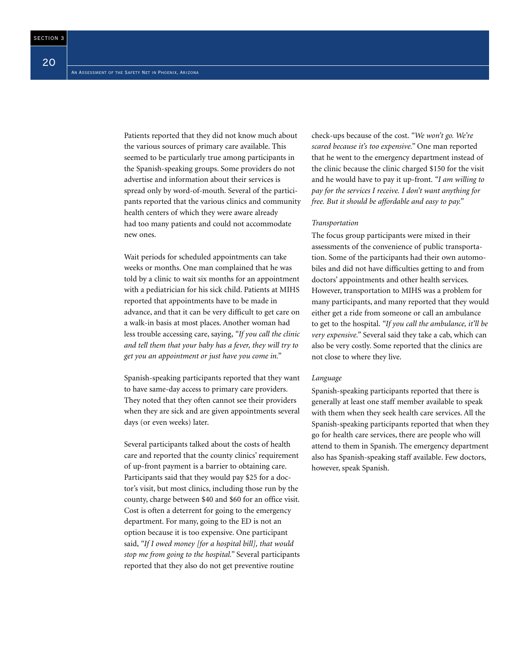Patients reported that they did not know much about the various sources of primary care available. This seemed to be particularly true among participants in the Spanish-speaking groups. Some providers do not advertise and information about their services is spread only by word-of-mouth. Several of the participants reported that the various clinics and community health centers of which they were aware already had too many patients and could not accommodate new ones.

Wait periods for scheduled appointments can take weeks or months. One man complained that he was told by a clinic to wait six months for an appointment with a pediatrician for his sick child. Patients at MIHS reported that appointments have to be made in advance, and that it can be very difficult to get care on a walk-in basis at most places. Another woman had less trouble accessing care, saying, *"If you call the clinic and tell them that your baby has a fever, they will try to get you an appointment or just have you come in."*

Spanish-speaking participants reported that they want to have same-day access to primary care providers. They noted that they often cannot see their providers when they are sick and are given appointments several days (or even weeks) later.

Several participants talked about the costs of health care and reported that the county clinics' requirement of up-front payment is a barrier to obtaining care. Participants said that they would pay \$25 for a doctor's visit, but most clinics, including those run by the county, charge between \$40 and \$60 for an office visit. Cost is often a deterrent for going to the emergency department. For many, going to the ED is not an option because it is too expensive. One participant said, *"If I owed money [for a hospital bill], that would stop me from going to the hospital."* Several participants reported that they also do not get preventive routine

check-ups because of the cost. *"We won't go. We're scared because it's too expensive."* One man reported that he went to the emergency department instead of the clinic because the clinic charged \$150 for the visit and he would have to pay it up-front. *"I am willing to pay for the services I receive. I don't want anything for free. But it should be affordable and easy to pay."*

#### *Transportation*

The focus group participants were mixed in their assessments of the convenience of public transportation. Some of the participants had their own automobiles and did not have difficulties getting to and from doctors' appointments and other health services. However, transportation to MIHS was a problem for many participants, and many reported that they would either get a ride from someone or call an ambulance to get to the hospital. *"If you call the ambulance, it'll be very expensive."* Several said they take a cab, which can also be very costly. Some reported that the clinics are not close to where they live.

#### *Language*

Spanish-speaking participants reported that there is generally at least one staff member available to speak with them when they seek health care services. All the Spanish-speaking participants reported that when they go for health care services, there are people who will attend to them in Spanish. The emergency department also has Spanish-speaking staff available. Few doctors, however, speak Spanish.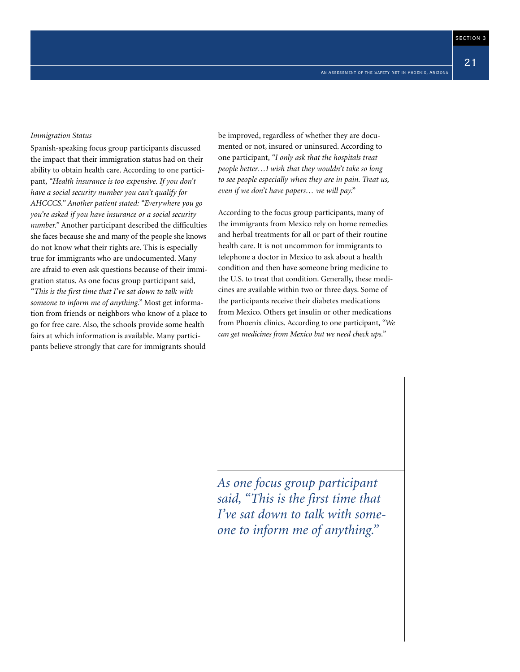21

#### *Immigration Status*

Spanish-speaking focus group participants discussed the impact that their immigration status had on their ability to obtain health care. According to one participant, *"Health insurance is too expensive. If you don't have a social security number you can't qualify for AHCCCS." Another patient stated: "Everywhere you go you're asked if you have insurance or a social security number."* Another participant described the difficulties she faces because she and many of the people she knows do not know what their rights are. This is especially true for immigrants who are undocumented. Many are afraid to even ask questions because of their immigration status. As one focus group participant said, *"This is the first time that I've sat down to talk with someone to inform me of anything."* Most get information from friends or neighbors who know of a place to go for free care. Also, the schools provide some health fairs at which information is available. Many participants believe strongly that care for immigrants should

be improved, regardless of whether they are documented or not, insured or uninsured. According to one participant, *"I only ask that the hospitals treat people better…I wish that they wouldn't take so long to see people especially when they are in pain. Treat us, even if we don't have papers… we will pay."*

According to the focus group participants, many of the immigrants from Mexico rely on home remedies and herbal treatments for all or part of their routine health care. It is not uncommon for immigrants to telephone a doctor in Mexico to ask about a health condition and then have someone bring medicine to the U.S. to treat that condition. Generally, these medicines are available within two or three days. Some of the participants receive their diabetes medications from Mexico. Others get insulin or other medications from Phoenix clinics. According to one participant, *"We can get medicines from Mexico but we need check ups."*

*As one focus group participant said, "This is the first time that I've sat down to talk with someone to inform me of anything."*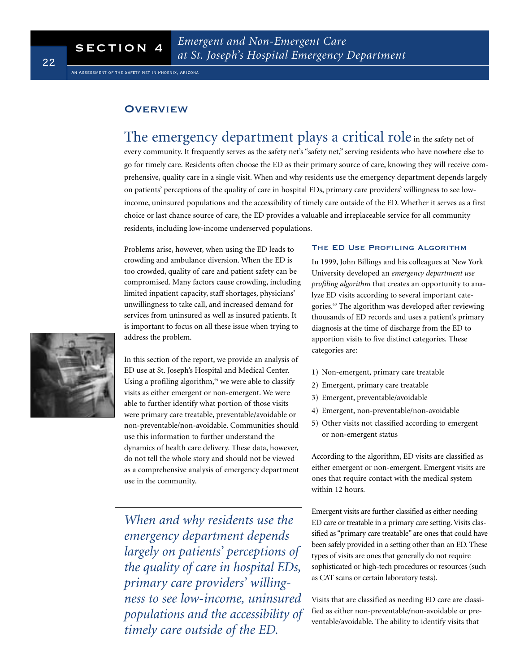An Assessment of the Safety Net in Phoenix, Arizona

#### **OVERVIEW**

### The emergency department plays a critical role in the safety net of every community. It frequently serves as the safety net's "safety net," serving residents who have nowhere else to go for timely care. Residents often choose the ED as their primary source of care, knowing they will receive comprehensive, quality care in a single visit. When and why residents use the emergency department depends largely on patients' perceptions of the quality of care in hospital EDs, primary care providers' willingness to see lowincome, uninsured populations and the accessibility of timely care outside of the ED. Whether it serves as a first choice or last chance source of care, the ED provides a valuable and irreplaceable service for all community residents, including low-income underserved populations.

Problems arise, however, when using the ED leads to crowding and ambulance diversion. When the ED is too crowded, quality of care and patient safety can be compromised. Many factors cause crowding, including limited inpatient capacity, staff shortages, physicians' unwillingness to take call, and increased demand for services from uninsured as well as insured patients. It is important to focus on all these issue when trying to address the problem.

In this section of the report, we provide an analysis of ED use at St. Joseph's Hospital and Medical Center. Using a profiling algorithm,<sup>59</sup> we were able to classify visits as either emergent or non-emergent. We were able to further identify what portion of those visits were primary care treatable, preventable/avoidable or non-preventable/non-avoidable. Communities should use this information to further understand the dynamics of health care delivery. These data, however, do not tell the whole story and should not be viewed as a comprehensive analysis of emergency department use in the community.

*When and why residents use the emergency department depends largely on patients' perceptions of the quality of care in hospital EDs, primary care providers' willingness to see low-income, uninsured populations and the accessibility of timely care outside of the ED.*

#### THE ED USE PROFILING ALGORITHM

In 1999, John Billings and his colleagues at New York University developed an *emergency department use profiling algorithm* that creates an opportunity to analyze ED visits according to several important categories.<sup>60</sup> The algorithm was developed after reviewing thousands of ED records and uses a patient's primary diagnosis at the time of discharge from the ED to apportion visits to five distinct categories. These categories are:

- 1) Non-emergent, primary care treatable
- 2) Emergent, primary care treatable
- 3) Emergent, preventable/avoidable
- 4) Emergent, non-preventable/non-avoidable
- 5) Other visits not classified according to emergent or non-emergent status

According to the algorithm, ED visits are classified as either emergent or non-emergent. Emergent visits are ones that require contact with the medical system within 12 hours.

Emergent visits are further classified as either needing ED care or treatable in a primary care setting. Visits classified as "primary care treatable" are ones that could have been safely provided in a setting other than an ED. These types of visits are ones that generally do not require sophisticated or high-tech procedures or resources (such as CAT scans or certain laboratory tests).

Visits that are classified as needing ED care are classified as either non-preventable/non-avoidable or preventable/avoidable. The ability to identify visits that

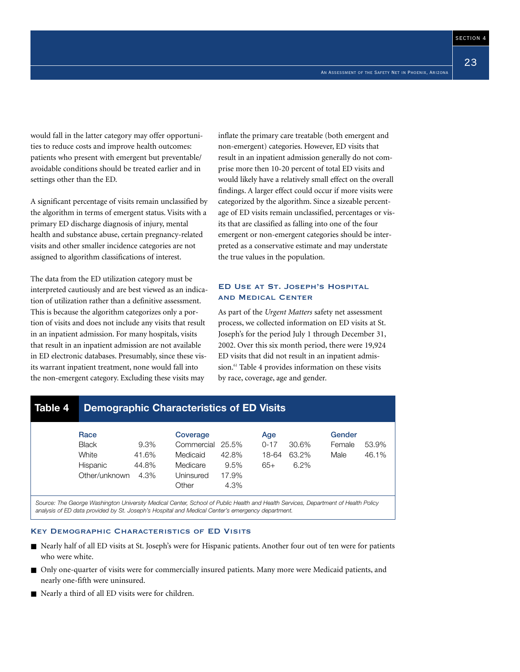23

would fall in the latter category may offer opportunities to reduce costs and improve health outcomes: patients who present with emergent but preventable/ avoidable conditions should be treated earlier and in settings other than the ED.

A significant percentage of visits remain unclassified by the algorithm in terms of emergent status. Visits with a primary ED discharge diagnosis of injury, mental health and substance abuse, certain pregnancy-related visits and other smaller incidence categories are not assigned to algorithm classifications of interest.

The data from the ED utilization category must be interpreted cautiously and are best viewed as an indication of utilization rather than a definitive assessment. This is because the algorithm categorizes only a portion of visits and does not include any visits that result in an inpatient admission. For many hospitals, visits that result in an inpatient admission are not available in ED electronic databases. Presumably, since these visits warrant inpatient treatment, none would fall into the non-emergent category. Excluding these visits may

inflate the primary care treatable (both emergent and non-emergent) categories. However, ED visits that result in an inpatient admission generally do not comprise more then 10-20 percent of total ED visits and would likely have a relatively small effect on the overall findings. A larger effect could occur if more visits were categorized by the algorithm. Since a sizeable percentage of ED visits remain unclassified, percentages or visits that are classified as falling into one of the four emergent or non-emergent categories should be interpreted as a conservative estimate and may understate the true values in the population.

#### ED Use at St. Joseph's Hospital and Medical Center

As part of the *Urgent Matters* safety net assessment process, we collected information on ED visits at St. Joseph's for the period July 1 through December 31, 2002. Over this six month period, there were 19,924 ED visits that did not result in an inpatient admission.<sup>61</sup> Table 4 provides information on these visits by race, coverage, age and gender.

### **Table 4 Demographic Characteristics of ED Visits**

| Race<br><b>Black</b>               | 9.3%                   | Coverage<br>Commercial 25.5%               |                                | Age<br>$0 - 17$ | 30.6%         | Gender<br>Female | 53.9% |
|------------------------------------|------------------------|--------------------------------------------|--------------------------------|-----------------|---------------|------------------|-------|
| White<br>Hispanic<br>Other/unknown | 41.6%<br>44.8%<br>4.3% | Medicaid<br>Medicare<br>Uninsured<br>Other | 42.8%<br>9.5%<br>17.9%<br>4.3% | 18-64<br>$65+$  | 63.2%<br>6.2% | Male             | 46.1% |

*Source: The George Washington University Medical Center, School of Public Health and Health Services, Department of Health Policy analysis of ED data provided by St. Joseph's Hospital and Medical Center's emergency department.*

#### Key Demographic Characteristics of ED Visits

- Nearly half of all ED visits at St. Joseph's were for Hispanic patients. Another four out of ten were for patients who were white.
- Only one-quarter of visits were for commercially insured patients. Many more were Medicaid patients, and nearly one-fifth were uninsured.
- Nearly a third of all ED visits were for children.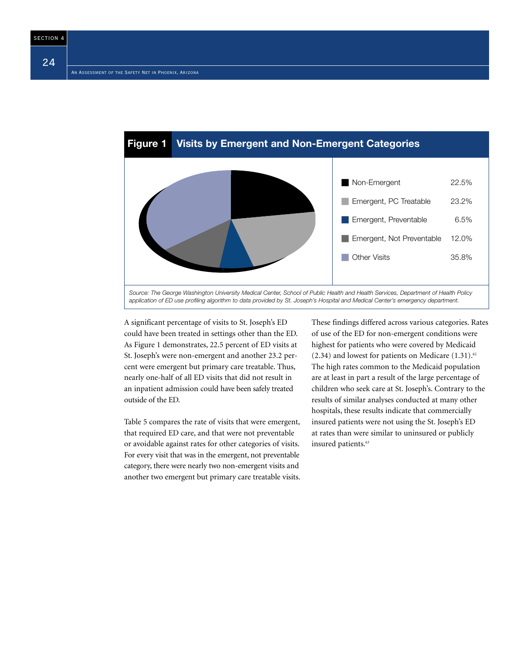

A significant percentage of visits to St. Joseph's ED could have been treated in settings other than the ED. As Figure 1 demonstrates, 22.5 percent of ED visits at St. Joseph's were non-emergent and another 23.2 percent were emergent but primary care treatable. Thus, nearly one-half of all ED visits that did not result in an inpatient admission could have been safely treated outside of the ED.

Table 5 compares the rate of visits that were emergent, that required ED care, and that were not preventable or avoidable against rates for other categories of visits. For every visit that was in the emergent, not preventable category, there were nearly two non-emergent visits and another two emergent but primary care treatable visits. These findings differed across various categories. Rates of use of the ED for non-emergent conditions were highest for patients who were covered by Medicaid  $(2.34)$  and lowest for patients on Medicare  $(1.31).<sup>62</sup>$ The high rates common to the Medicaid population are at least in part a result of the large percentage of children who seek care at St. Joseph's. Contrary to the results of similar analyses conducted at many other hospitals, these results indicate that commercially insured patients were not using the St. Joseph's ED at rates than were similar to uninsured or publicly insured patients.<sup>63</sup>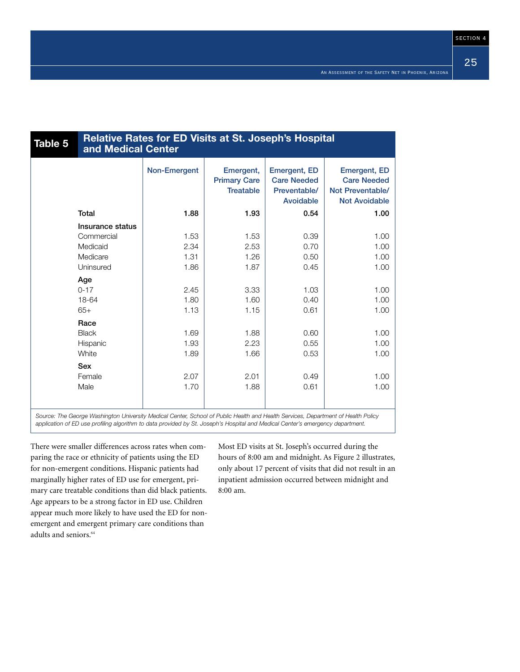| Table 5 | <b>Relative Rates for ED Visits at St. Joseph's Hospital</b><br>and Medical Center |              |                                                      |                                                                        |                                                                                       |  |
|---------|------------------------------------------------------------------------------------|--------------|------------------------------------------------------|------------------------------------------------------------------------|---------------------------------------------------------------------------------------|--|
|         |                                                                                    | Non-Emergent | Emergent,<br><b>Primary Care</b><br><b>Treatable</b> | <b>Emergent, ED</b><br><b>Care Needed</b><br>Preventable/<br>Avoidable | <b>Emergent, ED</b><br><b>Care Needed</b><br>Not Preventable/<br><b>Not Avoidable</b> |  |
|         | <b>Total</b>                                                                       | 1.88         | 1.93                                                 | 0.54                                                                   | 1.00                                                                                  |  |
|         | Insurance status                                                                   |              |                                                      |                                                                        |                                                                                       |  |
|         | Commercial                                                                         | 1.53         | 1.53                                                 | 0.39                                                                   | 1.00                                                                                  |  |
|         | Medicaid                                                                           | 2.34         | 2.53                                                 | 0.70                                                                   | 1.00                                                                                  |  |
|         | Medicare                                                                           | 1.31         | 1.26                                                 | 0.50                                                                   | 1.00                                                                                  |  |
|         | Uninsured                                                                          | 1.86         | 1.87                                                 | 0.45                                                                   | 1.00                                                                                  |  |
|         | Age                                                                                |              |                                                      |                                                                        |                                                                                       |  |
|         | $0 - 17$                                                                           | 2.45         | 3.33                                                 | 1.03                                                                   | 1.00                                                                                  |  |
|         | 18-64                                                                              | 1.80         | 1.60                                                 | 0.40                                                                   | 1.00                                                                                  |  |
|         | $65+$                                                                              | 1.13         | 1.15                                                 | 0.61                                                                   | 1.00                                                                                  |  |
|         | Race                                                                               |              |                                                      |                                                                        |                                                                                       |  |
|         | <b>Black</b>                                                                       | 1.69         | 1.88                                                 | 0.60                                                                   | 1.00                                                                                  |  |
|         | Hispanic                                                                           | 1.93         | 2.23                                                 | 0.55                                                                   | 1.00                                                                                  |  |
|         | White                                                                              | 1.89         | 1.66                                                 | 0.53                                                                   | 1.00                                                                                  |  |
|         | <b>Sex</b>                                                                         |              |                                                      |                                                                        |                                                                                       |  |
|         | Female                                                                             | 2.07         | 2.01                                                 | 0.49                                                                   | 1.00                                                                                  |  |
|         | Male                                                                               | 1.70         | 1.88                                                 | 0.61                                                                   | 1.00                                                                                  |  |
|         |                                                                                    |              |                                                      |                                                                        |                                                                                       |  |
|         |                                                                                    |              |                                                      |                                                                        |                                                                                       |  |

*Source: The George Washington University Medical Center, School of Public Health and Health Services, Department of Health Policy application of ED use profiling algorithm to data provided by St. Joseph's Hospital and Medical Center's emergency department.*

There were smaller differences across rates when comparing the race or ethnicity of patients using the ED for non-emergent conditions. Hispanic patients had marginally higher rates of ED use for emergent, primary care treatable conditions than did black patients. Age appears to be a strong factor in ED use. Children appear much more likely to have used the ED for nonemergent and emergent primary care conditions than adults and seniors.<sup>64</sup>

Most ED visits at St. Joseph's occurred during the hours of 8:00 am and midnight. As Figure 2 illustrates, only about 17 percent of visits that did not result in an inpatient admission occurred between midnight and 8:00 am.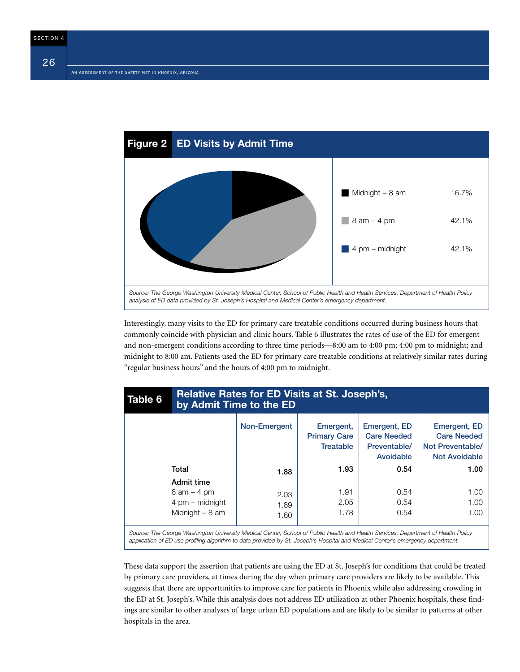

Interestingly, many visits to the ED for primary care treatable conditions occurred during business hours that commonly coincide with physician and clinic hours. Table 6 illustrates the rates of use of the ED for emergent and non-emergent conditions according to three time periods—8:00 am to 4:00 pm; 4:00 pm to midnight; and midnight to 8:00 am. Patients used the ED for primary care treatable conditions at relatively similar rates during "regular business hours" and the hours of 4:00 pm to midnight.

| Table 6                                                                                                                           | Relative Rates for ED Visits at St. Joseph's,<br>by Admit Time to the ED |              |                                                      |                                                                 |                                                                                |  |
|-----------------------------------------------------------------------------------------------------------------------------------|--------------------------------------------------------------------------|--------------|------------------------------------------------------|-----------------------------------------------------------------|--------------------------------------------------------------------------------|--|
|                                                                                                                                   |                                                                          | Non-Emergent | Emergent,<br><b>Primary Care</b><br><b>Treatable</b> | Emergent, ED<br><b>Care Needed</b><br>Preventable/<br>Avoidable | Emergent, ED<br><b>Care Needed</b><br>Not Preventable/<br><b>Not Avoidable</b> |  |
|                                                                                                                                   | Total                                                                    | 1.88         | 1.93                                                 | 0.54                                                            | 1.00                                                                           |  |
|                                                                                                                                   | Admit time                                                               |              |                                                      |                                                                 |                                                                                |  |
|                                                                                                                                   | $8$ am $-$ 4 pm                                                          | 2.03         | 1.91                                                 | 0.54                                                            | 1.00                                                                           |  |
|                                                                                                                                   | 4 pm – midnight                                                          | 1.89         | 2.05                                                 | 0.54                                                            | 1.00                                                                           |  |
|                                                                                                                                   | Midnight $-8$ am                                                         | 1.60         | 1.78                                                 | 0.54                                                            | 1.00                                                                           |  |
| Source: The George Washington University Medical Center, School of Public Health and Health Services, Department of Health Policy |                                                                          |              |                                                      |                                                                 |                                                                                |  |

*application of ED use profiling algorithm to data provided by St. Joseph's Hospital and Medical Center's emergency department.*

These data support the assertion that patients are using the ED at St. Joseph's for conditions that could be treated by primary care providers, at times during the day when primary care providers are likely to be available. This suggests that there are opportunities to improve care for patients in Phoenix while also addressing crowding in the ED at St. Joseph's. While this analysis does not address ED utilization at other Phoenix hospitals, these findings are similar to other analyses of large urban ED populations and are likely to be similar to patterns at other hospitals in the area.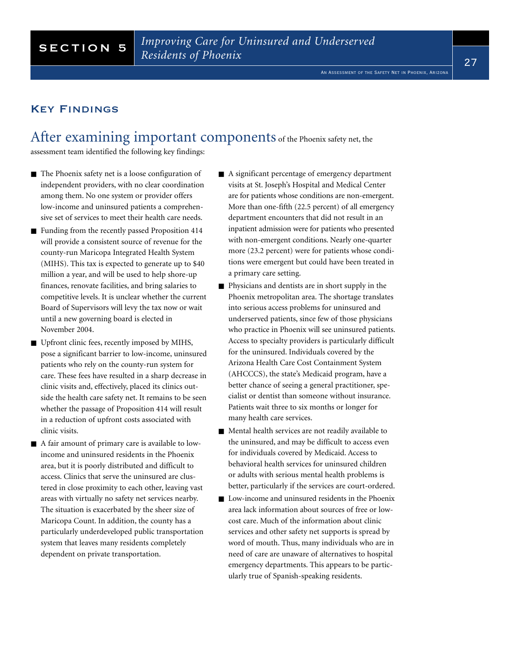### Key Findings

After examining important components of the Phoenix safety net, the

assessment team identified the following key findings:

- The Phoenix safety net is a loose configuration of independent providers, with no clear coordination among them. No one system or provider offers low-income and uninsured patients a comprehensive set of services to meet their health care needs.
- Funding from the recently passed Proposition 414 will provide a consistent source of revenue for the county-run Maricopa Integrated Health System (MIHS). This tax is expected to generate up to \$40 million a year, and will be used to help shore-up finances, renovate facilities, and bring salaries to competitive levels. It is unclear whether the current Board of Supervisors will levy the tax now or wait until a new governing board is elected in November 2004.
- Upfront clinic fees, recently imposed by MIHS, pose a significant barrier to low-income, uninsured patients who rely on the county-run system for care. These fees have resulted in a sharp decrease in clinic visits and, effectively, placed its clinics outside the health care safety net. It remains to be seen whether the passage of Proposition 414 will result in a reduction of upfront costs associated with clinic visits.
- A fair amount of primary care is available to lowincome and uninsured residents in the Phoenix area, but it is poorly distributed and difficult to access. Clinics that serve the uninsured are clustered in close proximity to each other, leaving vast areas with virtually no safety net services nearby. The situation is exacerbated by the sheer size of Maricopa Count. In addition, the county has a particularly underdeveloped public transportation system that leaves many residents completely dependent on private transportation.
- A significant percentage of emergency department visits at St. Joseph's Hospital and Medical Center are for patients whose conditions are non-emergent. More than one-fifth (22.5 percent) of all emergency department encounters that did not result in an inpatient admission were for patients who presented with non-emergent conditions. Nearly one-quarter more (23.2 percent) were for patients whose conditions were emergent but could have been treated in a primary care setting.
- Physicians and dentists are in short supply in the Phoenix metropolitan area. The shortage translates into serious access problems for uninsured and underserved patients, since few of those physicians who practice in Phoenix will see uninsured patients. Access to specialty providers is particularly difficult for the uninsured. Individuals covered by the Arizona Health Care Cost Containment System (AHCCCS), the state's Medicaid program, have a better chance of seeing a general practitioner, specialist or dentist than someone without insurance. Patients wait three to six months or longer for many health care services.
- Mental health services are not readily available to the uninsured, and may be difficult to access even for individuals covered by Medicaid. Access to behavioral health services for uninsured children or adults with serious mental health problems is better, particularly if the services are court-ordered.
- Low-income and uninsured residents in the Phoenix area lack information about sources of free or lowcost care. Much of the information about clinic services and other safety net supports is spread by word of mouth. Thus, many individuals who are in need of care are unaware of alternatives to hospital emergency departments. This appears to be particularly true of Spanish-speaking residents.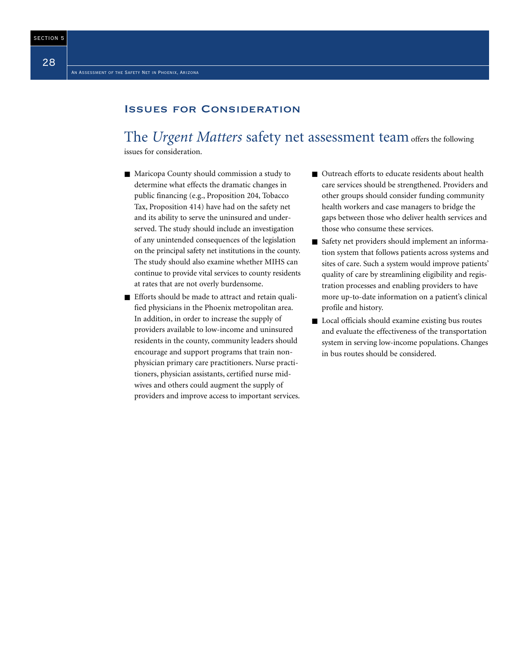### Issues for Consideration

### The *Urgent Matters* safety net assessment team offers the following

issues for consideration.

- Maricopa County should commission a study to determine what effects the dramatic changes in public financing (e.g., Proposition 204, Tobacco Tax, Proposition 414) have had on the safety net and its ability to serve the uninsured and underserved. The study should include an investigation of any unintended consequences of the legislation on the principal safety net institutions in the county. The study should also examine whether MIHS can continue to provide vital services to county residents at rates that are not overly burdensome.
- Efforts should be made to attract and retain qualified physicians in the Phoenix metropolitan area. In addition, in order to increase the supply of providers available to low-income and uninsured residents in the county, community leaders should encourage and support programs that train nonphysician primary care practitioners. Nurse practitioners, physician assistants, certified nurse midwives and others could augment the supply of providers and improve access to important services.
- Outreach efforts to educate residents about health care services should be strengthened. Providers and other groups should consider funding community health workers and case managers to bridge the gaps between those who deliver health services and those who consume these services.
- Safety net providers should implement an information system that follows patients across systems and sites of care. Such a system would improve patients' quality of care by streamlining eligibility and registration processes and enabling providers to have more up-to-date information on a patient's clinical profile and history.
- Local officials should examine existing bus routes and evaluate the effectiveness of the transportation system in serving low-income populations. Changes in bus routes should be considered.

SECTION 5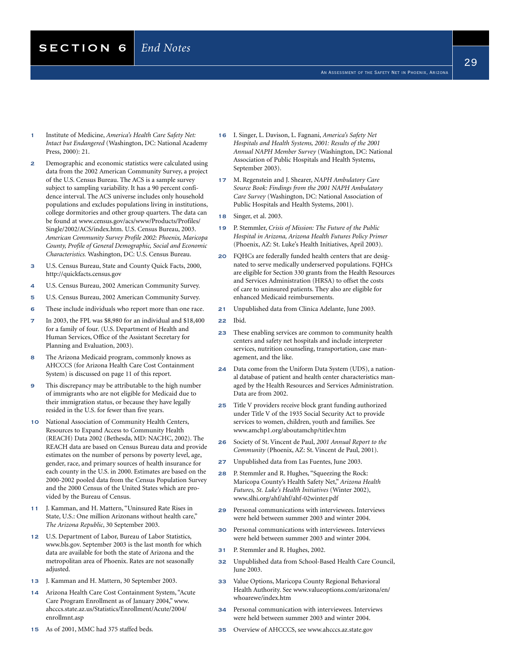- An Assessment of the Safety Net in Phoenix, Arizona
- 29

- 1 Institute of Medicine, *America's Health Care Safety Net: Intact but Endangered* (Washington, DC: National Academy Press, 2000): 21.
- 2 Demographic and economic statistics were calculated using data from the 2002 American Community Survey, a project of the U.S. Census Bureau. The ACS is a sample survey subject to sampling variability. It has a 90 percent confidence interval. The ACS universe includes only household populations and excludes populations living in institutions, college dormitories and other group quarters. The data can be found at www.census.gov/acs/www/Products/Profiles/ Single/2002/ACS/index.htm. U.S. Census Bureau, 2003. *American Community Survey Profile 2002: Phoenix, Maricopa County, Profile of General Demographic, Social and Economic Characteristics.* Washington, DC: U.S. Census Bureau.
- 3 U.S. Census Bureau, State and County Quick Facts, 2000, http://quickfacts.census.gov
- 4 U.S. Census Bureau, 2002 American Community Survey.
- 5 U.S. Census Bureau, 2002 American Community Survey.
- 6 These include individuals who report more than one race.
- 7 In 2003, the FPL was \$8,980 for an individual and \$18,400 for a family of four. (U.S. Department of Health and Human Services, Office of the Assistant Secretary for Planning and Evaluation, 2003).
- 8 The Arizona Medicaid program, commonly knows as AHCCCS (for Arizona Health Care Cost Containment System) is discussed on page 11 of this report.
- 9 This discrepancy may be attributable to the high number of immigrants who are not eligible for Medicaid due to their immigration status, or because they have legally resided in the U.S. for fewer than five years.
- 10 National Association of Community Health Centers, Resources to Expand Access to Community Health (REACH) Data 2002 (Bethesda, MD: NACHC, 2002). The REACH data are based on Census Bureau data and provide estimates on the number of persons by poverty level, age, gender, race, and primary sources of health insurance for each county in the U.S. in 2000. Estimates are based on the 2000-2002 pooled data from the Census Population Survey and the 2000 Census of the United States which are provided by the Bureau of Census.
- 11 J. Kamman, and H. Mattern, "Uninsured Rate Rises in State, U.S.: One million Arizonans without health care," *The Arizona Republic*, 30 September 2003.
- 12 U.S. Department of Labor, Bureau of Labor Statistics, www.bls.gov. September 2003 is the last month for which data are available for both the state of Arizona and the metropolitan area of Phoenix. Rates are not seasonally adjusted.
- 13 J. Kamman and H. Mattern, 30 September 2003.
- 14 Arizona Health Care Cost Containment System, "Acute Care Program Enrollment as of January 2004," www. ahcccs.state.az.us/Statistics/Enrollment/Acute/2004/ enrollmnt.asp
- 15 As of 2001, MMC had 375 staffed beds.
- 16 I. Singer, L. Davison, L. Fagnani, *America's Safety Net Hospitals and Health Systems, 2001: Results of the 2001 Annual NAPH Member Survey* (Washington, DC: National Association of Public Hospitals and Health Systems, September 2003).
- 17 M. Regenstein and J. Shearer, *NAPH Ambulatory Care Source Book: Findings from the 2001 NAPH Ambulatory Care Survey* (Washington, DC: National Association of Public Hospitals and Health Systems, 2001).
- 18 Singer, et al. 2003.
- 19 P. Stemmler, *Crisis of Mission: The Future of the Public Hospital in Arizona, Arizona Health Futures Policy Primer* (Phoenix, AZ: St. Luke's Health Initiatives, April 2003).
- 20 FQHCs are federally funded health centers that are designated to serve medically underserved populations. FQHCs are eligible for Section 330 grants from the Health Resources and Services Administration (HRSA) to offset the costs of care to uninsured patients. They also are eligible for enhanced Medicaid reimbursements.
- 21 Unpublished data from Clinica Adelante, June 2003.
- 22 Ibid.
- 23 These enabling services are common to community health centers and safety net hospitals and include interpreter services, nutrition counseling, transportation, case management, and the like.
- 24 Data come from the Uniform Data System (UDS), a national database of patient and health center characteristics managed by the Health Resources and Services Administration. Data are from 2002.
- 25 Title V providers receive block grant funding authorized under Title V of the 1935 Social Security Act to provide services to women, children, youth and families. See www.amchp1.org/aboutamchp/titlev.htm
- 26 Society of St. Vincent de Paul, *2001 Annual Report to the Community* (Phoenix, AZ: St. Vincent de Paul, 2001).
- 27 Unpublished data from Las Fuentes, June 2003.
- 28 P. Stemmler and R. Hughes, "Squeezing the Rock: Maricopa County's Health Safety Net," *Arizona Health Futures, St. Luke's Health Initiatives* (Winter 2002), www.slhi.org/ahf/ahf/ahf-02winter.pdf
- 29 Personal communications with interviewees. Interviews were held between summer 2003 and winter 2004.
- 30 Personal communications with interviewees. Interviews were held between summer 2003 and winter 2004.
- 31 P. Stemmler and R. Hughes, 2002.
- 32 Unpublished data from School-Based Health Care Council, June 2003.
- 33 Value Options, Maricopa County Regional Behavioral Health Authority. See www.valueoptions.com/arizona/en/ whoarewe/index.htm
- 34 Personal communication with interviewees. Interviews were held between summer 2003 and winter 2004.
- 35 Overview of AHCCCS, see www.ahcccs.az.state.gov